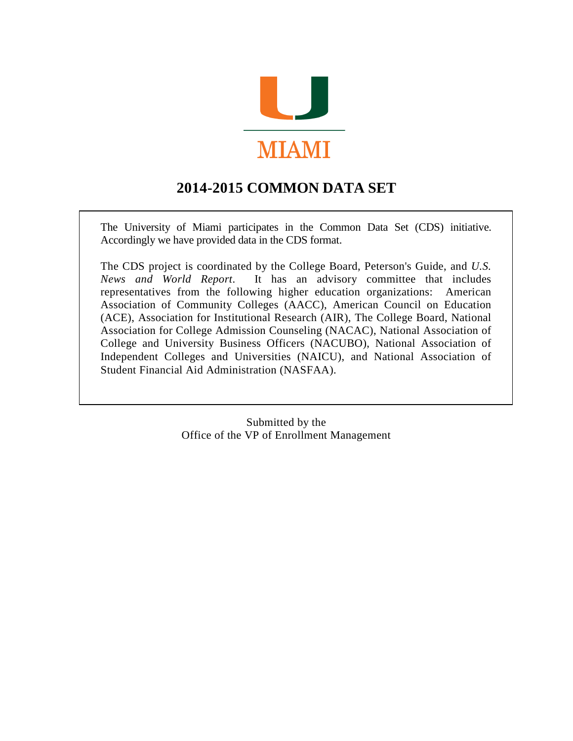

# **2014-2015 COMMON DATA SET**

The University of Miami participates in the Common Data Set (CDS) initiative. Accordingly we have provided data in the CDS format.

The CDS project is coordinated by the College Board, Peterson's Guide, and *U.S. News and World Report*. It has an advisory committee that includes representatives from the following higher education organizations: American Association of Community Colleges (AACC), American Council on Education (ACE), Association for Institutional Research (AIR), The College Board, National Association for College Admission Counseling (NACAC), National Association of College and University Business Officers (NACUBO), National Association of Independent Colleges and Universities (NAICU), and National Association of Student Financial Aid Administration (NASFAA).

> Submitted by the Office of the VP of Enrollment Management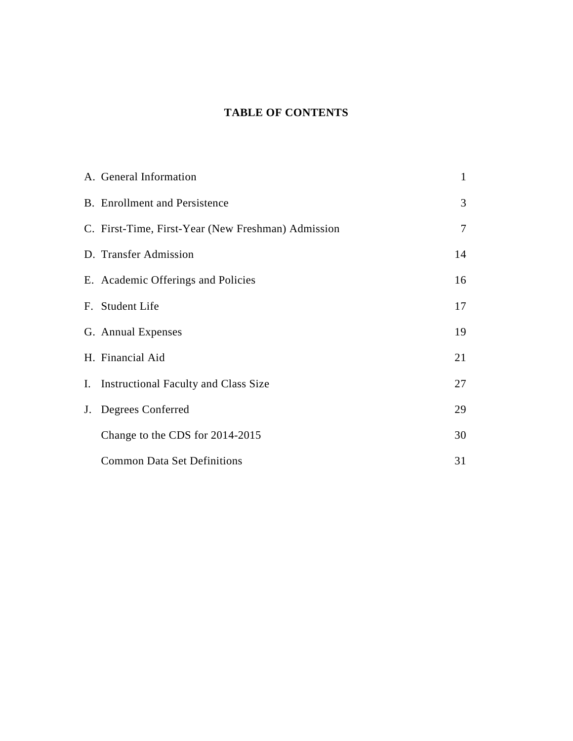### **TABLE OF CONTENTS**

| A. General Information                             | $\mathbf{1}$   |
|----------------------------------------------------|----------------|
| <b>B.</b> Enrollment and Persistence               | 3              |
| C. First-Time, First-Year (New Freshman) Admission | $\overline{7}$ |
| D. Transfer Admission                              | 14             |
| E. Academic Offerings and Policies                 | 16             |
| F. Student Life                                    | 17             |
| G. Annual Expenses                                 | 19             |
| H. Financial Aid                                   | 21             |
| I. Instructional Faculty and Class Size            | 27             |
| J. Degrees Conferred                               | 29             |
| Change to the CDS for 2014-2015                    | 30             |
| <b>Common Data Set Definitions</b>                 | 31             |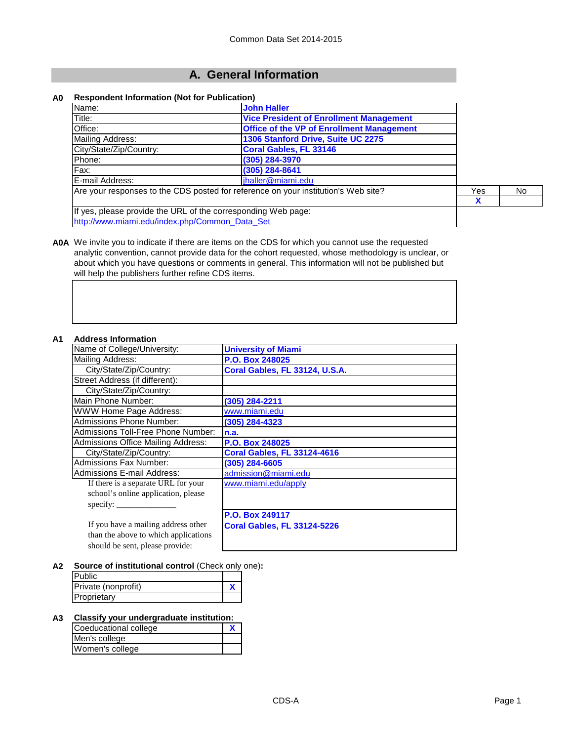### **A. General Information**

#### **A0 Respondent Information (Not for Publication)**

| Name:                                                                              | <b>John Haller</b>                               |     |     |
|------------------------------------------------------------------------------------|--------------------------------------------------|-----|-----|
| Title:                                                                             | <b>Vice President of Enrollment Management</b>   |     |     |
| Office:                                                                            | <b>Office of the VP of Enrollment Management</b> |     |     |
| Mailing Address:                                                                   | 1306 Stanford Drive, Suite UC 2275               |     |     |
| City/State/Zip/Country:                                                            | Coral Gables, FL 33146                           |     |     |
| Phone:                                                                             | (305) 284-3970                                   |     |     |
| Fax:                                                                               | $(305)$ 284-8641                                 |     |     |
| E-mail Address:                                                                    | jhaller@miami.edu                                |     |     |
| Are your responses to the CDS posted for reference on your institution's Web site? |                                                  | Yes | No. |
|                                                                                    |                                                  |     |     |
| If yes, please provide the URL of the corresponding Web page:                      |                                                  |     |     |
| http://www.miami.edu/index.php/Common Data Set                                     |                                                  |     |     |

**A0A** We invite you to indicate if there are it[ems on the CDS f](mailto:jhaller@miami.edu)or which you cannot use the requested analytic convention, cannot provide data for the cohort requested, whose methodology is unclear, or about which you have questions or comments in general. This information will not be published but [will help the publishers further refine CDS item](http://www.miami.edu/index.php/Common_Data_Set)s.

#### **A1 Address Information**

| Auuress Iniviniauvil                      |                                    |
|-------------------------------------------|------------------------------------|
| Name of College/University:               | <b>University of Miami</b>         |
| <b>Mailing Address:</b>                   | P.O. Box 248025                    |
| City/State/Zip/Country:                   | Coral Gables, FL 33124, U.S.A.     |
| Street Address (if different):            |                                    |
| City/State/Zip/Country:                   |                                    |
| Main Phone Number:                        | (305) 284-2211                     |
| <b>WWW Home Page Address:</b>             | www.miami.edu                      |
| Admissions Phone Number:                  | (305) 284-4323                     |
| Admissions Toll-Free Phone Number:        | n.a.                               |
| <b>Admissions Office Mailing Address:</b> | P.O. Box 248025                    |
| City/State/Zip/Country:                   | <b>Coral Gables, FL 33124-4616</b> |
| <b>Admissions Fax Number:</b>             | $(305)$ 284-6605                   |
| <b>Admissions E-mail Address:</b>         | admission@miami.edu                |
| If there is a separate URL for your       | www.miami.edu/apply                |
| school's online application, please       |                                    |
| specify:                                  |                                    |
|                                           | P.O. Box 249117                    |
| If you have a mailing address other       | <b>Coral Gables, FL 33124-5226</b> |
| than the above to which applications      |                                    |
| should be sent, please provide:           |                                    |

#### **A2 Source of institutional control** (Check only one)**:**

| <b>Public</b>       |  |
|---------------------|--|
| Private (nonprofit) |  |
| Proprietary         |  |

#### **A3 Classify your undergraduate institution:**

| Coeducational college |  |
|-----------------------|--|
| Men's college         |  |
| Women's college       |  |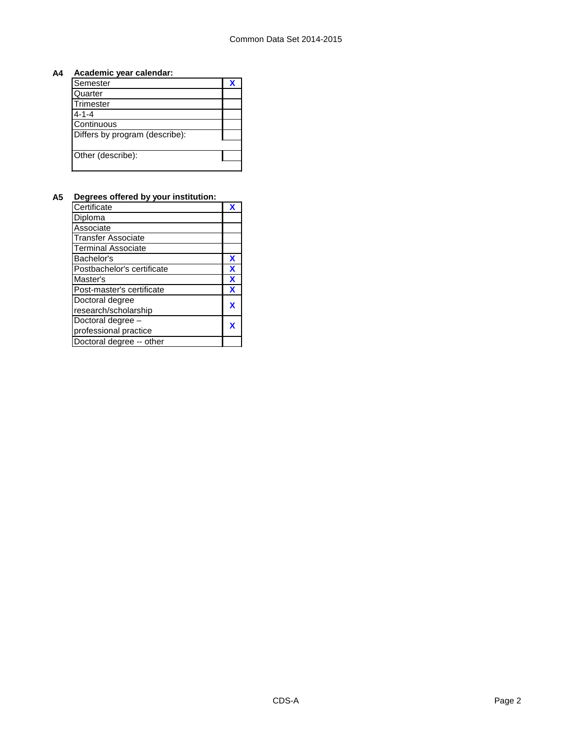#### **A4 Academic year calendar:**

| Semester                       | Х |
|--------------------------------|---|
| Quarter                        |   |
| Trimester                      |   |
| $4 - 1 - 4$                    |   |
| Continuous                     |   |
| Differs by program (describe): |   |
|                                |   |
| Other (describe):              |   |
|                                |   |

#### **A5 Degrees offered by your institution:**

| Certificate                | X |
|----------------------------|---|
| Diploma                    |   |
| Associate                  |   |
| <b>Transfer Associate</b>  |   |
| <b>Terminal Associate</b>  |   |
| Bachelor's                 | X |
| Postbachelor's certificate | X |
| Master's                   | X |
| Post-master's certificate  | X |
| Doctoral degree            | X |
| research/scholarship       |   |
| Doctoral degree -          |   |
| professional practice      | X |
| Doctoral degree -- other   |   |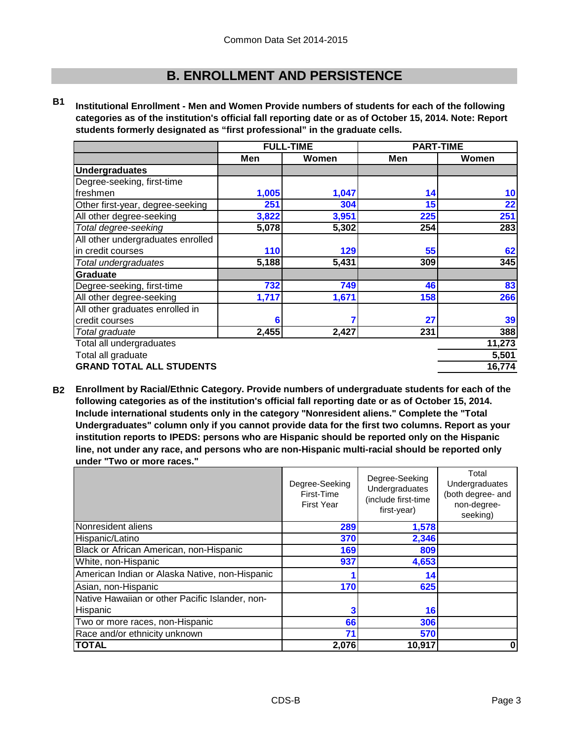### **B. ENROLLMENT AND PERSISTENCE**

**B1 Institutional Enrollment - Men and Women Provide numbers of students for each of the following categories as of the institution's official fall reporting date or as of October 15, 2014. Note: Report students formerly designated as "first professional" in the graduate cells.**

|                                   | <b>FULL-TIME</b> |       | <b>PART-TIME</b> |        |
|-----------------------------------|------------------|-------|------------------|--------|
|                                   | Men              | Women | Men              | Women  |
| <b>Undergraduates</b>             |                  |       |                  |        |
| Degree-seeking, first-time        |                  |       |                  |        |
| freshmen                          | 1,005            | 1,047 | 14               | 10     |
| Other first-year, degree-seeking  | 251              | 304   | 15               | 22     |
| All other degree-seeking          | 3,822            | 3,951 | 225              | 251    |
| Total degree-seeking              | 5,078            | 5,302 | 254              | 283    |
| All other undergraduates enrolled |                  |       |                  |        |
| in credit courses                 | 110              | 129   | 55               | 62     |
| Total undergraduates              | 5,188            | 5,431 | 309              | 345    |
| Graduate                          |                  |       |                  |        |
| Degree-seeking, first-time        | 732              | 749   | 46               | 83     |
| All other degree-seeking          | 1,717            | 1,671 | 158              | 266    |
| All other graduates enrolled in   |                  |       |                  |        |
| credit courses                    | 6                |       | 27               | 39     |
| Total graduate                    | 2,455            | 2,427 | 231              | 388    |
| Total all undergraduates          |                  |       |                  | 11,273 |
| Total all graduate                |                  |       |                  | 5,501  |
| <b>GRAND TOTAL ALL STUDENTS</b>   |                  |       |                  | 16,774 |

**B2 Enrollment by Racial/Ethnic Category. Provide numbers of undergraduate students for each of the following categories as of the institution's official fall reporting date or as of October 15, 2014. Include international students only in the category "Nonresident aliens." Complete the "Total Undergraduates" column only if you cannot provide data for the first two columns. Report as your institution reports to IPEDS: persons who are Hispanic should be reported only on the Hispanic line, not under any race, and persons who are non-Hispanic multi-racial should be reported only under "Two or more races."** 

|                                                 | Degree-Seeking<br>First-Time<br><b>First Year</b> | Degree-Seeking<br>Undergraduates<br>(include first-time<br>first-year) | Total<br>Undergraduates<br>(both degree- and<br>non-degree-<br>seeking) |
|-------------------------------------------------|---------------------------------------------------|------------------------------------------------------------------------|-------------------------------------------------------------------------|
| Nonresident aliens                              | 289                                               | 1,578                                                                  |                                                                         |
| Hispanic/Latino                                 | 370                                               | 2,346                                                                  |                                                                         |
| Black or African American, non-Hispanic         | 169                                               | 809                                                                    |                                                                         |
| White, non-Hispanic                             | 937                                               | 4,653                                                                  |                                                                         |
| American Indian or Alaska Native, non-Hispanic  |                                                   | 14                                                                     |                                                                         |
| Asian, non-Hispanic                             | 170                                               | 625                                                                    |                                                                         |
| Native Hawaiian or other Pacific Islander, non- |                                                   |                                                                        |                                                                         |
| Hispanic                                        |                                                   | 16                                                                     |                                                                         |
| Two or more races, non-Hispanic                 | 66                                                | 306                                                                    |                                                                         |
| Race and/or ethnicity unknown                   | 71                                                | 570                                                                    |                                                                         |
| <b>TOTAL</b>                                    | 2,076                                             | 10,917                                                                 | 0                                                                       |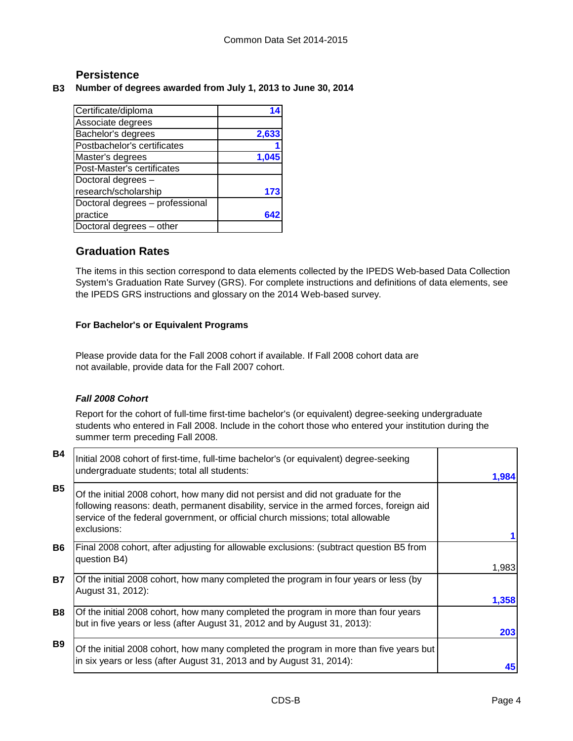### **Persistence**

#### **B3 Number of degrees awarded from July 1, 2013 to June 30, 2014**

| Certificate/diploma             |       |
|---------------------------------|-------|
| Associate degrees               |       |
| Bachelor's degrees              | 2,633 |
| Postbachelor's certificates     |       |
| Master's degrees                |       |
| Post-Master's certificates      |       |
| Doctoral degrees -              |       |
| research/scholarship            |       |
| Doctoral degrees - professional |       |
| practice                        |       |
| Doctoral degrees - other        |       |

### **Graduation Rates**

The items in this section correspond to data elements collected by the IPEDS Web-based Data Collection System's Graduation Rate Survey (GRS). For complete instructions and definitions of data elements, see the IPEDS GRS instructions and glossary on the 2014 Web-based survey.

#### **For Bachelor's or Equivalent Programs**

Please provide data for the Fall 2008 cohort if available. If Fall 2008 cohort data are not available, provide data for the Fall 2007 cohort.

#### *Fall 2008 Cohort*

Report for the cohort of full-time first-time bachelor's (or equivalent) degree-seeking undergraduate students who entered in Fall 2008. Include in the cohort those who entered your institution during the summer term preceding Fall 2008.

| <b>B4</b> | Initial 2008 cohort of first-time, full-time bachelor's (or equivalent) degree-seeking<br>undergraduate students; total all students:                                                                                                                                           | 1,984 |
|-----------|---------------------------------------------------------------------------------------------------------------------------------------------------------------------------------------------------------------------------------------------------------------------------------|-------|
| <b>B5</b> | Of the initial 2008 cohort, how many did not persist and did not graduate for the<br>following reasons: death, permanent disability, service in the armed forces, foreign aid<br>service of the federal government, or official church missions; total allowable<br>exclusions: |       |
| <b>B6</b> | Final 2008 cohort, after adjusting for allowable exclusions: (subtract question B5 from<br>question B4)                                                                                                                                                                         |       |
|           |                                                                                                                                                                                                                                                                                 | 1,983 |
| <b>B7</b> | Of the initial 2008 cohort, how many completed the program in four years or less (by<br>August 31, 2012):                                                                                                                                                                       | 1,358 |
| <b>B8</b> | Of the initial 2008 cohort, how many completed the program in more than four years<br>but in five years or less (after August 31, 2012 and by August 31, 2013):                                                                                                                 | 203   |
| <b>B9</b> | Of the initial 2008 cohort, how many completed the program in more than five years but<br>in six years or less (after August 31, 2013 and by August 31, 2014):                                                                                                                  | 45    |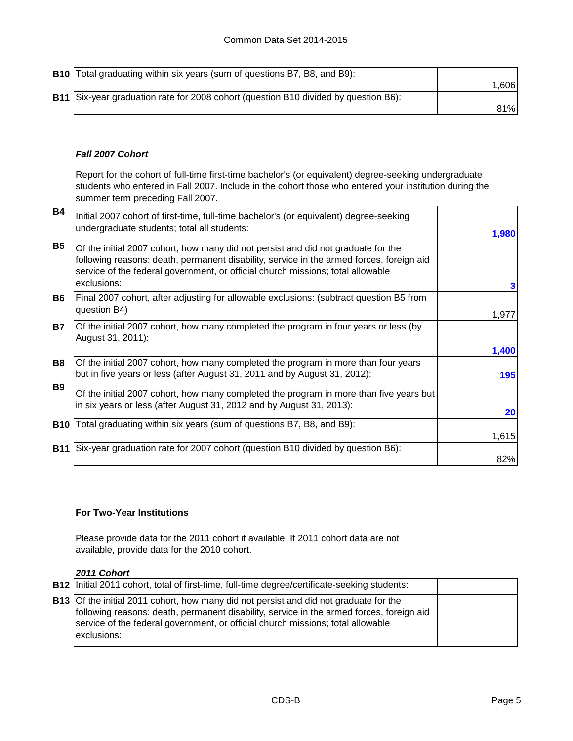| <b>B10</b> Total graduating within six years (sum of questions B7, B8, and B9):     |        |
|-------------------------------------------------------------------------------------|--------|
|                                                                                     | 1.6061 |
| B11 Six-year graduation rate for 2008 cohort (question B10 divided by question B6): |        |
|                                                                                     | 81%    |

#### *Fall 2007 Cohort*

Report for the cohort of full-time first-time bachelor's (or equivalent) degree-seeking undergraduate students who entered in Fall 2007. Include in the cohort those who entered your institution during the summer term preceding Fall 2007.

| <b>B4</b>  | Initial 2007 cohort of first-time, full-time bachelor's (or equivalent) degree-seeking<br>undergraduate students; total all students:                                                                                                                                           | 1,980     |
|------------|---------------------------------------------------------------------------------------------------------------------------------------------------------------------------------------------------------------------------------------------------------------------------------|-----------|
| <b>B5</b>  | Of the initial 2007 cohort, how many did not persist and did not graduate for the<br>following reasons: death, permanent disability, service in the armed forces, foreign aid<br>service of the federal government, or official church missions; total allowable<br>exclusions: | 3         |
| B6.        | Final 2007 cohort, after adjusting for allowable exclusions: (subtract question B5 from<br>question B4)                                                                                                                                                                         | 1,977     |
| <b>B7</b>  | Of the initial 2007 cohort, how many completed the program in four years or less (by<br>August 31, 2011):                                                                                                                                                                       | 1,400     |
| B8         | Of the initial 2007 cohort, how many completed the program in more than four years<br>but in five years or less (after August 31, 2011 and by August 31, 2012):                                                                                                                 | 195       |
| <b>B9</b>  | Of the initial 2007 cohort, how many completed the program in more than five years but<br>in six years or less (after August 31, 2012 and by August 31, 2013):                                                                                                                  | <b>20</b> |
| <b>B10</b> | Total graduating within six years (sum of questions B7, B8, and B9):                                                                                                                                                                                                            | 1,615     |
| <b>B11</b> | Six-year graduation rate for 2007 cohort (question B10 divided by question B6):                                                                                                                                                                                                 |           |
|            |                                                                                                                                                                                                                                                                                 | 82%       |

#### **For Two-Year Institutions**

Please provide data for the 2011 cohort if available. If 2011 cohort data are not available, provide data for the 2010 cohort.

#### *2011 Cohort*

| <b>B12</b> Initial 2011 cohort, total of first-time, full-time degree/certificate-seeking students:                                                                                                                                                                                        |  |
|--------------------------------------------------------------------------------------------------------------------------------------------------------------------------------------------------------------------------------------------------------------------------------------------|--|
| <b>B13</b> Of the initial 2011 cohort, how many did not persist and did not graduate for the<br>following reasons: death, permanent disability, service in the armed forces, foreign aid<br>service of the federal government, or official church missions; total allowable<br>exclusions: |  |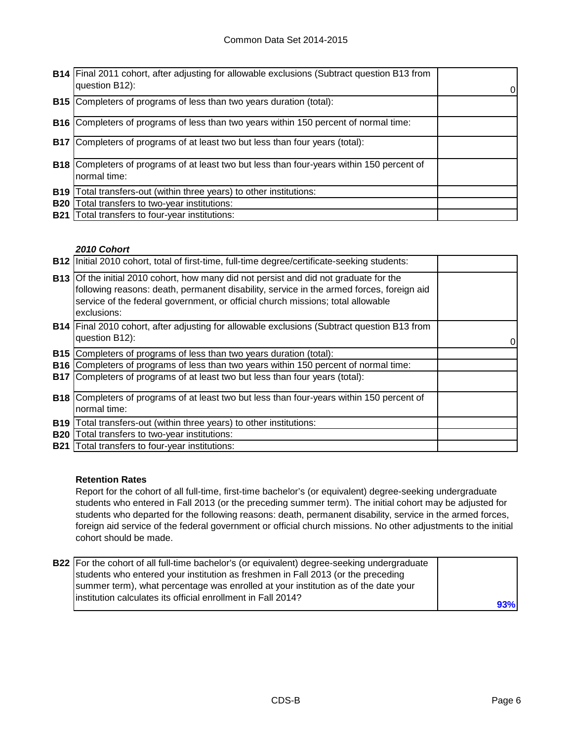|            | <b>B14</b> Final 2011 cohort, after adjusting for allowable exclusions (Subtract question B13 from<br>question B12): | 0 |
|------------|----------------------------------------------------------------------------------------------------------------------|---|
| <b>B15</b> | Completers of programs of less than two years duration (total):                                                      |   |
| <b>B16</b> | Completers of programs of less than two years within 150 percent of normal time:                                     |   |
| <b>B17</b> | Completers of programs of at least two but less than four years (total):                                             |   |
| <b>B18</b> | Completers of programs of at least two but less than four-years within 150 percent of<br>normal time:                |   |
| <b>B19</b> | Total transfers-out (within three years) to other institutions:                                                      |   |
| <b>B20</b> | Fotal transfers to two-year institutions:                                                                            |   |
| <b>B21</b> | Total transfers to four-year institutions:                                                                           |   |

#### *2010 Cohort*

| <b>B12</b> | Initial 2010 cohort, total of first-time, full-time degree/certificate-seeking students:                                                                                                                                                                                                   |  |
|------------|--------------------------------------------------------------------------------------------------------------------------------------------------------------------------------------------------------------------------------------------------------------------------------------------|--|
|            | <b>B13</b> Of the initial 2010 cohort, how many did not persist and did not graduate for the<br>following reasons: death, permanent disability, service in the armed forces, foreign aid<br>service of the federal government, or official church missions; total allowable<br>exclusions: |  |
|            | <b>B14</b> Final 2010 cohort, after adjusting for allowable exclusions (Subtract question B13 from<br>question B12):                                                                                                                                                                       |  |
| <b>B15</b> | Completers of programs of less than two years duration (total):                                                                                                                                                                                                                            |  |
| <b>B16</b> | Completers of programs of less than two years within 150 percent of normal time:                                                                                                                                                                                                           |  |
|            | <b>B17</b> Completers of programs of at least two but less than four years (total):                                                                                                                                                                                                        |  |
|            | <b>B18</b> Completers of programs of at least two but less than four-years within 150 percent of<br>normal time:                                                                                                                                                                           |  |
| <b>B19</b> | Total transfers-out (within three years) to other institutions:                                                                                                                                                                                                                            |  |
| <b>B20</b> | Total transfers to two-year institutions:                                                                                                                                                                                                                                                  |  |
| <b>B21</b> | Total transfers to four-year institutions:                                                                                                                                                                                                                                                 |  |

#### **Retention Rates**

Report for the cohort of all full-time, first-time bachelor's (or equivalent) degree-seeking undergraduate students who entered in Fall 2013 (or the preceding summer term). The initial cohort may be adjusted for students who departed for the following reasons: death, permanent disability, service in the armed forces, foreign aid service of the federal government or official church missions. No other adjustments to the initial cohort should be made.

| <b>B22</b> For the cohort of all full-time bachelor's (or equivalent) degree-seeking undergraduate |     |
|----------------------------------------------------------------------------------------------------|-----|
| students who entered your institution as freshmen in Fall 2013 (or the preceding                   |     |
| summer term), what percentage was enrolled at your institution as of the date your                 |     |
| linstitution calculates its official enrollment in Fall 2014?                                      |     |
|                                                                                                    | 93% |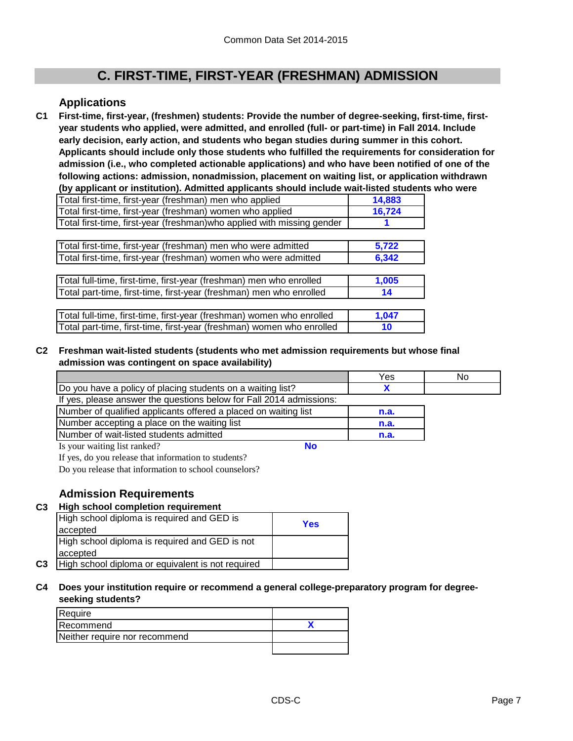## **C. FIRST-TIME, FIRST-YEAR (FRESHMAN) ADMISSION**

#### **Applications**

**C1 First-time, first-year, (freshmen) students: Provide the number of degree-seeking, first-time, firstyear students who applied, were admitted, and enrolled (full- or part-time) in Fall 2014. Include early decision, early action, and students who began studies during summer in this cohort. Applicants should include only those students who fulfilled the requirements for consideration for admission (i.e., who completed actionable applications) and who have been notified of one of the following actions: admission, nonadmission, placement on waiting list, or application withdrawn (by applicant or institution). Admitted applicants should include wait-listed students who were** 

| Total first-time, first-year (freshman) men who applied                 | 14.883 |
|-------------------------------------------------------------------------|--------|
| Total first-time, first-year (freshman) women who applied               | 16.724 |
| Total first-time, first-year (freshman) who applied with missing gender |        |

| Total first-time, first-year (freshman) men who were admitted   | 5.722 |
|-----------------------------------------------------------------|-------|
| Total first-time, first-year (freshman) women who were admitted | 6.342 |

| Total full-time, first-time, first-year (freshman) men who enrolled | 1.005 |
|---------------------------------------------------------------------|-------|
| Total part-time, first-time, first-year (freshman) men who enrolled |       |

| Total full-time, first-time, first-year (freshman) women who enrolled | 1.047 |
|-----------------------------------------------------------------------|-------|
| Total part-time, first-time, first-year (freshman) women who enrolled | 10    |

#### **C2 Freshman wait-listed students (students who met admission requirements but whose final admission was contingent on space availability)**

|                                                                     | Yes  | No |
|---------------------------------------------------------------------|------|----|
| Do you have a policy of placing students on a waiting list?         |      |    |
| If yes, please answer the questions below for Fall 2014 admissions: |      |    |
| Number of qualified applicants offered a placed on waiting list     | n.a. |    |
| Number accepting a place on the waiting list                        | n.a. |    |
| Number of wait-listed students admitted                             | n.a. |    |
| Is your waiting list ranked?<br>No                                  |      |    |

If yes, do you release that information to students?

Do you release that information to school counselors?

### **Admission Requirements**

#### **C3 High school completion requirement**

|                | High school diploma is required and GED is<br>accepted | Yes |
|----------------|--------------------------------------------------------|-----|
|                | High school diploma is required and GED is not         |     |
|                | accepted                                               |     |
| C <sub>3</sub> | High school diploma or equivalent is not required      |     |

#### **C4 Does your institution require or recommend a general college-preparatory program for degreeseeking students?**

| Require                       |  |
|-------------------------------|--|
| Recommend                     |  |
| Neither require nor recommend |  |
|                               |  |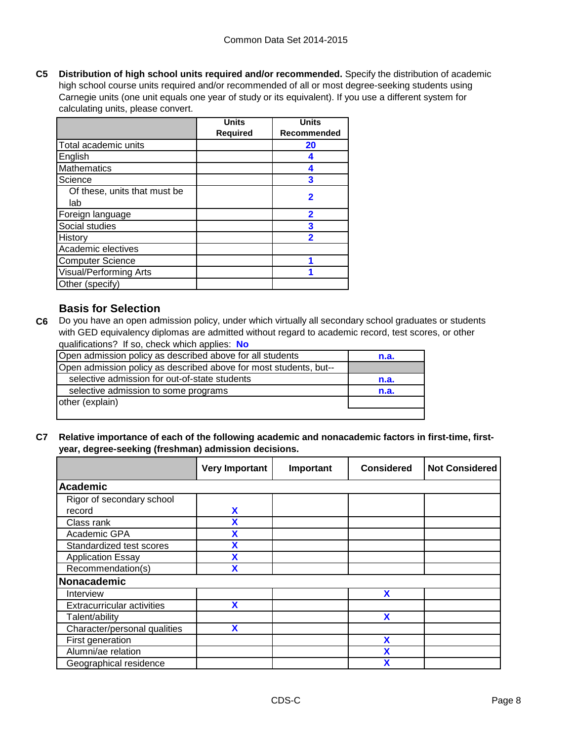**C5 Distribution of high school units required and/or recommended.** Specify the distribution of academic high school course units required and/or recommended of all or most degree-seeking students using Carnegie units (one unit equals one year of study or its equivalent). If you use a different system for calculating units, please convert.

|                               | <b>Units</b>    | <b>Units</b>            |
|-------------------------------|-----------------|-------------------------|
|                               | <b>Required</b> | Recommended             |
| Total academic units          |                 | 20                      |
| English                       |                 |                         |
| <b>Mathematics</b>            |                 |                         |
| Science                       |                 | 3                       |
| Of these, units that must be  |                 | 2                       |
| lab                           |                 |                         |
| Foreign language              |                 | 2                       |
| Social studies                |                 | 3                       |
| History                       |                 | $\overline{\mathbf{2}}$ |
| Academic electives            |                 |                         |
| <b>Computer Science</b>       |                 |                         |
| <b>Visual/Performing Arts</b> |                 |                         |
| Other (specify)               |                 |                         |

### **Basis for Selection**

**C6** Do you have an open admission policy, under which virtually all secondary school graduates or students with GED equivalency diplomas are admitted without regard to academic record, test scores, or other qualifications? If so, check which applies: **No**

| Open admission policy as described above for all students         | n.a. |
|-------------------------------------------------------------------|------|
| Open admission policy as described above for most students, but-- |      |
| selective admission for out-of-state students                     | n.a. |
| selective admission to some programs                              | n.a. |
| other (explain)                                                   |      |
|                                                                   |      |

**C7 Relative importance of each of the following academic and nonacademic factors in first-time, firstyear, degree-seeking (freshman) admission decisions.**

|                                   | <b>Very Important</b> | Important | <b>Considered</b> | <b>Not Considered</b> |
|-----------------------------------|-----------------------|-----------|-------------------|-----------------------|
| Academic                          |                       |           |                   |                       |
| Rigor of secondary school         |                       |           |                   |                       |
| record                            | X                     |           |                   |                       |
| Class rank                        | X                     |           |                   |                       |
| Academic GPA                      | X                     |           |                   |                       |
| Standardized test scores          | χ                     |           |                   |                       |
| <b>Application Essay</b>          | χ                     |           |                   |                       |
| Recommendation(s)                 |                       |           |                   |                       |
| Nonacademic                       |                       |           |                   |                       |
| Interview                         |                       |           | X                 |                       |
| <b>Extracurricular activities</b> | X                     |           |                   |                       |
| Talent/ability                    |                       |           | X                 |                       |
| Character/personal qualities      | X                     |           |                   |                       |
| First generation                  |                       |           | X                 |                       |
| Alumni/ae relation                |                       |           | χ                 |                       |
| Geographical residence            |                       |           | X                 |                       |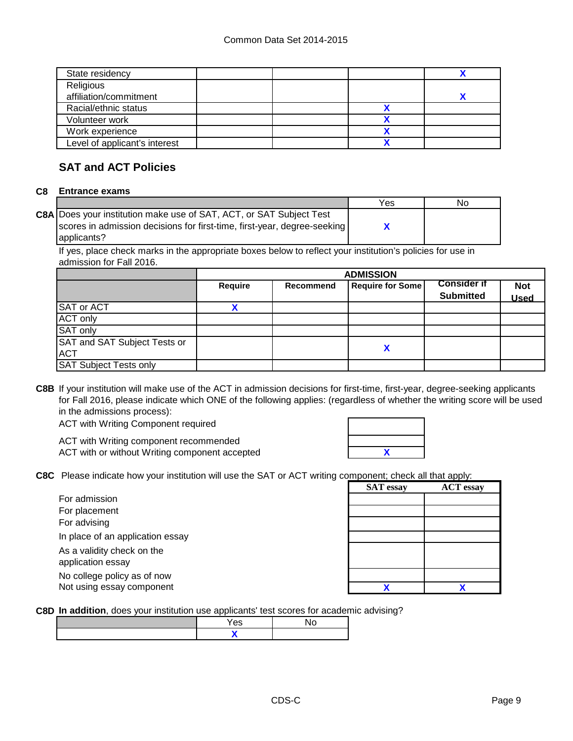| State residency               |  |  |
|-------------------------------|--|--|
| Religious                     |  |  |
| affiliation/commitment        |  |  |
| Racial/ethnic status          |  |  |
| Volunteer work                |  |  |
| Work experience               |  |  |
| Level of applicant's interest |  |  |
|                               |  |  |

### **SAT and ACT Policies**

#### **C8 Entrance exams**

|                                                                          | Yes | No |
|--------------------------------------------------------------------------|-----|----|
| C8A Does your institution make use of SAT, ACT, or SAT Subject Test      |     |    |
| scores in admission decisions for first-time, first-year, degree-seeking |     |    |
| lapplicants?                                                             |     |    |

If yes, place check marks in the appropriate boxes below to reflect your institution's policies for use in admission for Fall 2016.

|                                            | <b>ADMISSION</b> |           |                         |                                        |                           |
|--------------------------------------------|------------------|-----------|-------------------------|----------------------------------------|---------------------------|
|                                            | Require          | Recommend | <b>Require for Some</b> | <b>Consider if</b><br><b>Submitted</b> | <b>Not</b><br><b>Used</b> |
| SAT or ACT                                 |                  |           |                         |                                        |                           |
| <b>ACT only</b>                            |                  |           |                         |                                        |                           |
| SAT only                                   |                  |           |                         |                                        |                           |
| SAT and SAT Subject Tests or<br><b>ACT</b> |                  |           | Χ                       |                                        |                           |
| <b>SAT Subject Tests only</b>              |                  |           |                         |                                        |                           |

**C8B** If your institution will make use of the ACT in admission decisions for first-time, first-year, degree-seeking applicants for Fall 2016, please indicate which ONE of the following applies: (regardless of whether the writing score will be used in the admissions process):

ACT with Writing Component required

ACT with Writing component recommended ACT with or without Writing component accepted

**C8C** Please indicate how your institution will use the SAT or ACT writing component; check all that apply:

| For admission                    |
|----------------------------------|
| For placement                    |
| For advising                     |
| In place of an application essay |
| As a validity check on the       |
| application essay                |
| No college policy as of now      |
| Not using essay component        |

| <b>I IGASE INDIVIDUATE HOW YOU HISULUIUM INTI USE THE OFFIT OF ACT WHILING COMPONEMI, CHECK AIL THAT APPIY.</b> |                  |                  |  |
|-----------------------------------------------------------------------------------------------------------------|------------------|------------------|--|
|                                                                                                                 | <b>SAT</b> essay | <b>ACT</b> essay |  |
| For admission                                                                                                   |                  |                  |  |
| For placement                                                                                                   |                  |                  |  |
| For advising                                                                                                    |                  |                  |  |
| In place of an application essay                                                                                |                  |                  |  |
| As a validity check on the                                                                                      |                  |                  |  |
| application essay                                                                                               |                  |                  |  |
| No college policy as of now                                                                                     |                  |                  |  |
| Not using essay component                                                                                       |                  |                  |  |

**C8D In addition**, does your institution use applicants' test scores for academic advising?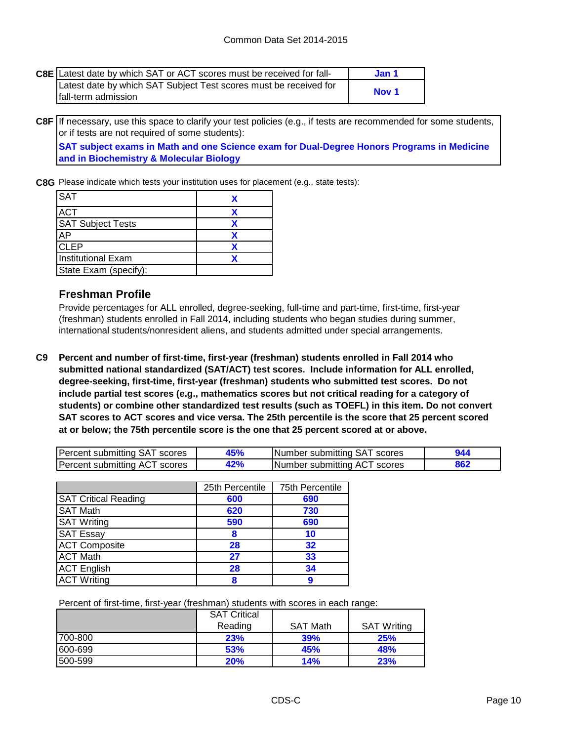| C8E Latest date by which SAT or ACT scores must be received for fall- | Jan 1 |
|-----------------------------------------------------------------------|-------|
| Latest date by which SAT Subject Test scores must be received for     |       |
| fall-term admission                                                   | Nov 1 |

**C8F** If necessary, use this space to clarify your test policies (e.g., if tests are recommended for some students, or if tests are not required of some students):

**SAT subject exams in Math and one Science exam for Dual-Degree Honors Programs in Medicine and in Biochemistry & Molecular Biology**

**C8G** Please indicate which tests your institution uses for placement (e.g., state tests):

| <b>SAT</b>               |  |
|--------------------------|--|
| <b>ACT</b>               |  |
| <b>SAT Subject Tests</b> |  |
| <b>AP</b>                |  |
| <b>CLEP</b>              |  |
| Institutional Exam       |  |
| State Exam (specify):    |  |

#### **Freshman Profile**

Provide percentages for ALL enrolled, degree-seeking, full-time and part-time, first-time, first-year (freshman) students enrolled in Fall 2014, including students who began studies during summer, international students/nonresident aliens, and students admitted under special arrangements.

**C9 Percent and number of first-time, first-year (freshman) students enrolled in Fall 2014 who submitted national standardized (SAT/ACT) test scores. Include information for ALL enrolled, degree-seeking, first-time, first-year (freshman) students who submitted test scores. Do not include partial test scores (e.g., mathematics scores but not critical reading for a category of students) or combine other standardized test results (such as TOEFL) in this item. Do not convert SAT scores to ACT scores and vice versa. The 25th percentile is the score that 25 percent scored at or below; the 75th percentile score is the one that 25 percent scored at or above.**

| Percent submitting SAT scores | 15% | Number submitting SAT scores |  |
|-------------------------------|-----|------------------------------|--|
| Percent submitting ACT scores |     | Number submitting ACT scores |  |

|                             | 25th Percentile | 75th Percentile |
|-----------------------------|-----------------|-----------------|
| <b>SAT Critical Reading</b> | 600             | 690             |
| <b>SAT Math</b>             | 620             | 730             |
| <b>SAT Writing</b>          | 590             | 690             |
| <b>SAT Essay</b>            | 8               | 10              |
| <b>ACT Composite</b>        | 28              | 32              |
| <b>ACT Math</b>             | 27              | 33              |
| <b>ACT</b> English          | 28              | 34              |
| <b>ACT Writing</b>          |                 |                 |

Percent of first-time, first-year (freshman) students with scores in each range:

|          | <b>SAT Critical</b> |                 |                    |
|----------|---------------------|-----------------|--------------------|
|          | Reading             | <b>SAT Math</b> | <b>SAT Writing</b> |
| 1700-800 | 23%                 | 39%             | 25%                |
| 600-699  | 53%                 | 45%             | 48%                |
| 1500-599 | 20%                 | 14%             | 23%                |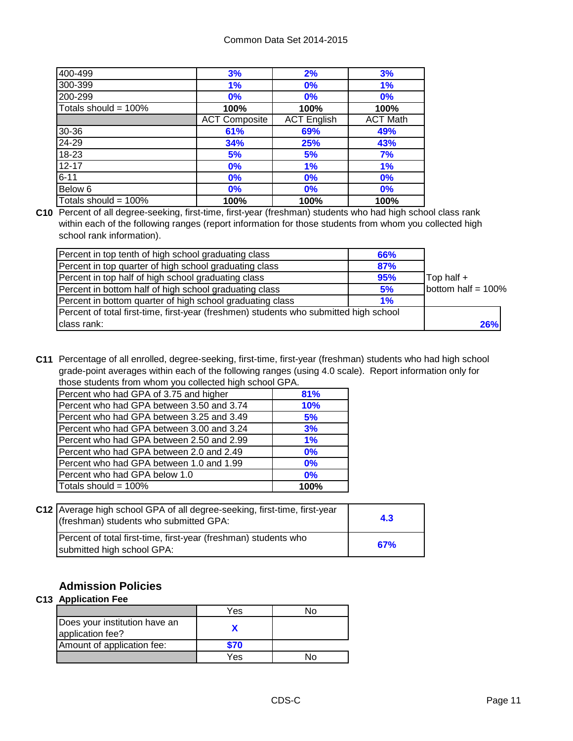| 400-499                 | 3%                   | 2%                 | 3%              |
|-------------------------|----------------------|--------------------|-----------------|
| 300-399                 | 1%                   | 0%                 | 1%              |
| 200-299                 | 0%                   | 0%                 | 0%              |
| Totals should = $100\%$ | 100%                 | 100%               | 100%            |
|                         | <b>ACT Composite</b> | <b>ACT English</b> | <b>ACT Math</b> |
| 30-36                   | 61%                  | 69%                | 49%             |
| 24-29                   | 34%                  | 25%                | 43%             |
| $18 - 23$               | 5%                   | 5%                 | 7%              |
| $12 - 17$               | 0%                   | 1%                 | 1%              |
| $6 - 11$                | 0%                   | 0%                 | 0%              |
| Below 6                 | 0%                   | 0%                 | 0%              |
| Totals should = 100%    | 100%                 | 100%               | 100%            |

**C10** Percent of all degree-seeking, first-time, first-year (freshman) students who had high school class rank within each of the following ranges (report information for those students from whom you collected high school rank information).

| Percent in top tenth of high school graduating class                                  | 66% |                       |
|---------------------------------------------------------------------------------------|-----|-----------------------|
| Percent in top quarter of high school graduating class                                | 87% |                       |
| Percent in top half of high school graduating class                                   | 95% | $\mathsf{Top}$ half + |
| Percent in bottom half of high school graduating class                                | 5%  | bottom half = $100\%$ |
| Percent in bottom quarter of high school graduating class                             | 1%  |                       |
| Percent of total first-time, first-year (freshmen) students who submitted high school |     |                       |
| class rank:                                                                           |     | <b>26%</b>            |

**C11** Percentage of all enrolled, degree-seeking, first-time, first-year (freshman) students who had high school grade-point averages within each of the following ranges (using 4.0 scale). Report information only for those students from whom you collected high school GPA.

| Percent who had GPA of 3.75 and higher    | 81%        |
|-------------------------------------------|------------|
| Percent who had GPA between 3.50 and 3.74 | <b>10%</b> |
| Percent who had GPA between 3.25 and 3.49 | 5%         |
| Percent who had GPA between 3.00 and 3.24 | 3%         |
| Percent who had GPA between 2.50 and 2.99 | 1%         |
| Percent who had GPA between 2.0 and 2.49  | $0\%$      |
| Percent who had GPA between 1.0 and 1.99  | $0\%$      |
| Percent who had GPA below 1.0             | $0\%$      |
| Totals should = 100%                      | 100%       |
|                                           |            |

| C12   Average high school GPA of all degree-seeking, first-time, first-year<br>(freshman) students who submitted GPA: | 4.3 |
|-----------------------------------------------------------------------------------------------------------------------|-----|
| Percent of total first-time, first-year (freshman) students who<br>submitted high school GPA:                         | 67% |

### **Admission Policies**

#### **C13 Application Fee**

|                                                   | Yes  |  |
|---------------------------------------------------|------|--|
| Does your institution have an<br>application fee? |      |  |
| Amount of application fee:                        | \$70 |  |
|                                                   | Yes  |  |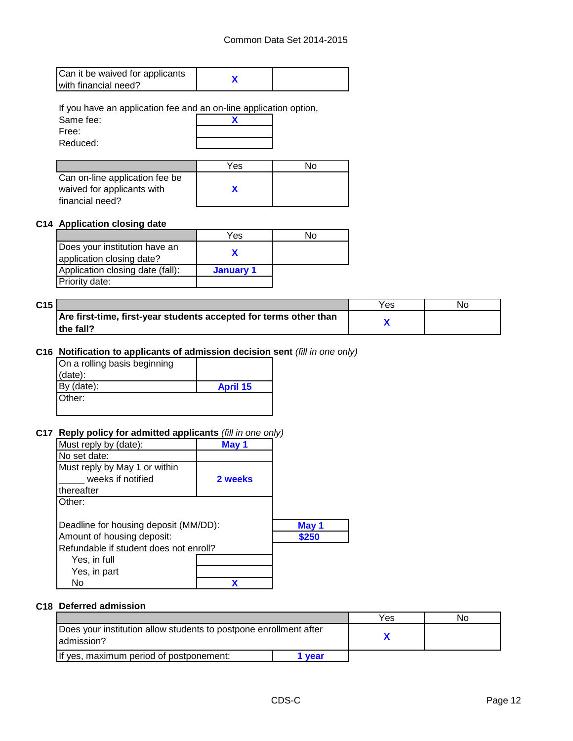| Can it be waived for applicants |  |
|---------------------------------|--|
| with financial need?            |  |

If you have an application fee and an on-line application option,

| Same fee: |  |
|-----------|--|
| Free:     |  |
| Reduced:  |  |

|                                | Yes | N٥ |
|--------------------------------|-----|----|
| Can on-line application fee be |     |    |
| waived for applicants with     |     |    |
| financial need?                |     |    |

#### **C14 Application closing date**

|                                                            | Yes       | N٥ |
|------------------------------------------------------------|-----------|----|
| Does your institution have an<br>application closing date? |           |    |
| Application closing date (fall):                           | January 1 |    |
| Priority date:                                             |           |    |

| C <sub>15</sub> |                                                                   | Yes | Nc |
|-----------------|-------------------------------------------------------------------|-----|----|
|                 | Are first-time, first-year students accepted for terms other than |     |    |
|                 | the fall?                                                         |     |    |

#### **C16 Notification to applicants of admission decision sent** *(fill in one only)*

| On a rolling basis beginning |                 |
|------------------------------|-----------------|
| $(data)$ :                   |                 |
| By $(data)$ :                | <b>April 15</b> |
| Other:                       |                 |
|                              |                 |

#### **C17 Reply policy for admitted applicants** *(fill in one only)*

| Must reply by (date):                  | May 1   |       |
|----------------------------------------|---------|-------|
| No set date:                           |         |       |
| Must reply by May 1 or within          |         |       |
| weeks if notified                      | 2 weeks |       |
| thereafter                             |         |       |
| Other:                                 |         |       |
|                                        |         |       |
| Deadline for housing deposit (MM/DD):  |         | May 1 |
| Amount of housing deposit:             |         | \$250 |
| Refundable if student does not enroll? |         |       |
| Yes, in full                           |         |       |
| Yes, in part                           |         |       |
| No                                     |         |       |

#### **C18 Deferred admission**

|                                                                                  |      | Yes | NO. |
|----------------------------------------------------------------------------------|------|-----|-----|
| Does your institution allow students to postpone enrollment after<br>ladmission? |      |     |     |
| If yes, maximum period of postponement:                                          | vear |     |     |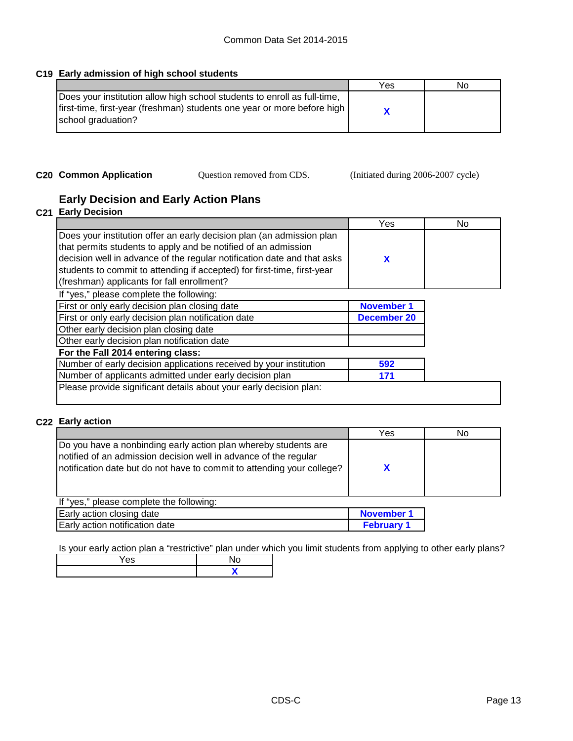#### **C19 Early admission of high school students**

|                                                                                                                                                                             | Yes | Νo |
|-----------------------------------------------------------------------------------------------------------------------------------------------------------------------------|-----|----|
| Does your institution allow high school students to enroll as full-time,<br>first-time, first-year (freshman) students one year or more before high  <br>school graduation? |     |    |

Question removed from CDS.

**C20 Common Application** Question removed from CDS. (Initiated during 2006-2007 cycle)

### **Early Decision and Early Action Plans**

#### **C21 Early Decision**

|                                                                         | Yes | No |
|-------------------------------------------------------------------------|-----|----|
| Does your institution offer an early decision plan (an admission plan   |     |    |
| that permits students to apply and be notified of an admission          |     |    |
| decision well in advance of the regular notification date and that asks |     |    |
| students to commit to attending if accepted) for first-time, first-year |     |    |
| (freshman) applicants for fall enrollment?                              |     |    |
| If "yes," please complete the following:                                |     |    |

| First or only early decision plan closing date                     | <b>November 1</b> |
|--------------------------------------------------------------------|-------------------|
| First or only early decision plan notification date                | December 20       |
| Other early decision plan closing date                             |                   |
| Other early decision plan notification date                        |                   |
| For the Fall 2014 entering class:                                  |                   |
| Number of early decision applications received by your institution | 592               |
| Number of applicants admitted under early decision plan            | 171               |
| Please provide significant details about your early decision plan: |                   |
|                                                                    |                   |

#### **C22 Early action**

|                                                                                                                                                                                                                | Yes | No |
|----------------------------------------------------------------------------------------------------------------------------------------------------------------------------------------------------------------|-----|----|
| Do you have a nonbinding early action plan whereby students are<br>notified of an admission decision well in advance of the regular<br>Inotification date but do not have to commit to attending your college? |     |    |
| If "yes," please complete the following:                                                                                                                                                                       |     |    |

| Early action closing date      | November 1      |
|--------------------------------|-----------------|
| Early action notification date | <b>February</b> |

Is your early action plan a "restrictive" plan under which you limit students from applying to other early plans?

| - |  |
|---|--|
|   |  |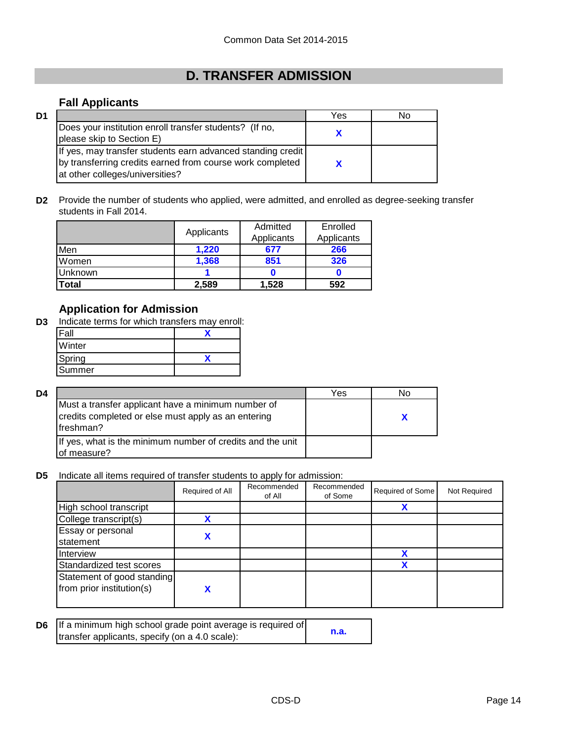# **D. TRANSFER ADMISSION**

### **Fall Applicants**

| D1 |                                                                                                                                                             | Yes | No |
|----|-------------------------------------------------------------------------------------------------------------------------------------------------------------|-----|----|
|    | Does your institution enroll transfer students? (If no,<br>please skip to Section E)                                                                        |     |    |
|    | If yes, may transfer students earn advanced standing credit<br>by transferring credits earned from course work completed<br>at other colleges/universities? |     |    |

**D2** Provide the number of students who applied, were admitted, and enrolled as degree-seeking transfer students in Fall 2014.

|         |            | Admitted   | Enrolled   |
|---------|------------|------------|------------|
|         | Applicants | Applicants | Applicants |
| Men     | 1,220      | 677        | 266        |
| Women   | 1,368      | 851        | 326        |
| Unknown |            |            |            |
| Total   | 2.589      | 1,528      | 592        |

### **Application for Admission**

**D3** Indicate terms for which transfers may enroll:

| Fall   |  |
|--------|--|
| Winter |  |
| Spring |  |
| Summer |  |

| D4 |                                                                                                                        | Yes | NΟ |
|----|------------------------------------------------------------------------------------------------------------------------|-----|----|
|    | Must a transfer applicant have a minimum number of<br>credits completed or else must apply as an entering<br>freshman? |     |    |
|    | If yes, what is the minimum number of credits and the unit<br>of measure?                                              |     |    |

**D5** Indicate all items required of transfer students to apply for admission:

|                                                         | Required of All | Recommended<br>of All | Recommended<br>of Some | Required of Some | Not Required |
|---------------------------------------------------------|-----------------|-----------------------|------------------------|------------------|--------------|
| High school transcript                                  |                 |                       |                        | х                |              |
| College transcript(s)                                   |                 |                       |                        |                  |              |
| Essay or personal<br>statement                          |                 |                       |                        |                  |              |
| Interview                                               |                 |                       |                        |                  |              |
| Standardized test scores                                |                 |                       |                        | v                |              |
| Statement of good standing<br>from prior institution(s) |                 |                       |                        |                  |              |

| <b>D6</b> If a minimum high school grade point average is required of |      |
|-----------------------------------------------------------------------|------|
| transfer applicants, specify (on a 4.0 scale):                        | n.a. |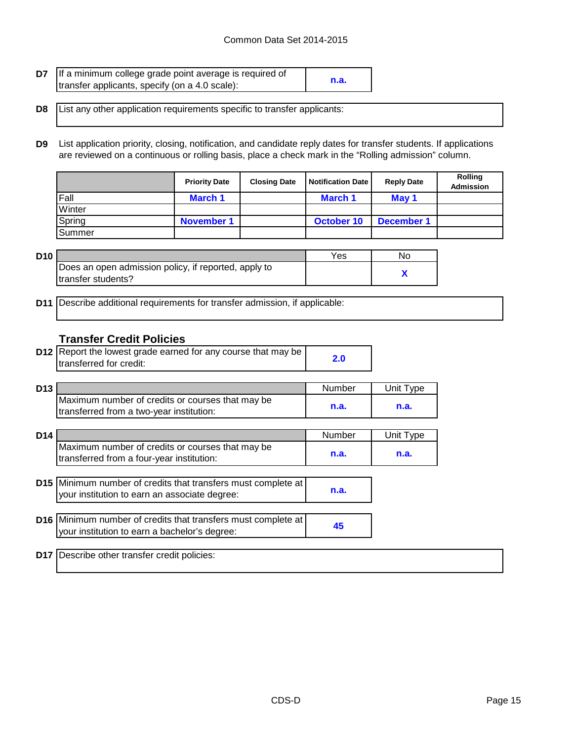| D7 | If a minimum college grade point average is required of |      |
|----|---------------------------------------------------------|------|
|    | transfer applicants, specify (on a 4.0 scale):          | n.a. |

- **D8** List any other application requirements specific to transfer applicants:
- **D9** List application priority, closing, notification, and candidate reply dates for transfer students. If applications are reviewed on a continuous or rolling basis, place a check mark in the "Rolling admission" column.

|               | <b>Priority Date</b> | <b>Closing Date</b> | Notification Date | <b>Reply Date</b> | <b>Rolling</b><br><b>Admission</b> |
|---------------|----------------------|---------------------|-------------------|-------------------|------------------------------------|
| Fall          | <b>March 1</b>       |                     | <b>March 1</b>    | May 1             |                                    |
| Winter        |                      |                     |                   |                   |                                    |
| Spring        | <b>November 1</b>    |                     | October 10        | <b>December 1</b> |                                    |
| <b>Summer</b> |                      |                     |                   |                   |                                    |

| D10 |                                                      | Yes | No |
|-----|------------------------------------------------------|-----|----|
|     | Does an open admission policy, if reported, apply to |     |    |
|     | Itransfer students?                                  |     |    |

**D11** Describe additional requirements for transfer admission, if applicable:

#### **Transfer Credit Policies**

| <b>D12</b> Report the lowest grade earned for any course that may be |     |
|----------------------------------------------------------------------|-----|
| Itransferred for credit:                                             | 2.0 |

| D <sub>13</sub> |                                                                                              | Number | Unit Tvpe |
|-----------------|----------------------------------------------------------------------------------------------|--------|-----------|
|                 | Maximum number of credits or courses that may be<br>transferred from a two-year institution: | n.a.   | n.a.      |

| D <sub>14</sub> |                                                                                                                       | <b>Number</b> | Unit Type |
|-----------------|-----------------------------------------------------------------------------------------------------------------------|---------------|-----------|
|                 | Maximum number of credits or courses that may be<br>transferred from a four-year institution:                         | n.a.          | n.a.      |
|                 |                                                                                                                       |               |           |
|                 | <b>D15</b> Minimum number of credits that transfers must complete at<br>your institution to earn an associate degree: | n.a.          |           |
|                 |                                                                                                                       |               |           |
|                 | D16 Minimum number of credits that transfers must complete at<br>your institution to earn a bachelor's degree:        | 45            |           |
|                 |                                                                                                                       |               |           |
| D17             | Describe other transfer credit policies:                                                                              |               |           |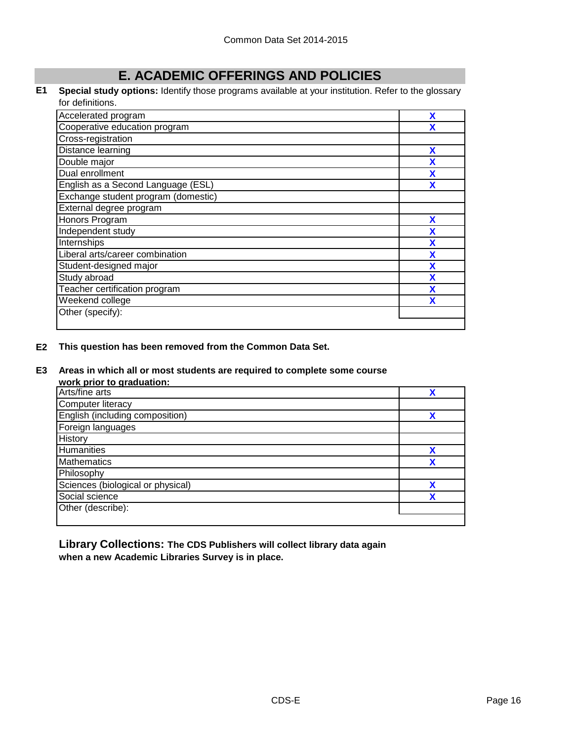# **E. ACADEMIC OFFERINGS AND POLICIES**

#### **E1 Special study options:** Identify those programs available at your institution. Refer to the glossary for definitions.

| Accelerated program                 | X |
|-------------------------------------|---|
| Cooperative education program       | X |
| Cross-registration                  |   |
| Distance learning                   | X |
| Double major                        | X |
| Dual enrollment                     | X |
| English as a Second Language (ESL)  | X |
| Exchange student program (domestic) |   |
| External degree program             |   |
| Honors Program                      | X |
| Independent study                   | X |
| Internships                         | X |
| Liberal arts/career combination     | X |
| Student-designed major              | X |
| Study abroad                        | X |
| Teacher certification program       | X |
| Weekend college                     |   |
| Other (specify):                    |   |
|                                     |   |

#### **E2 This question has been removed from the Common Data Set.**

#### **E3 Areas in which all or most students are required to complete some course**

#### **work prior to graduation:**

| WUIN DIJUL IU YIAUUALIUII.        |   |
|-----------------------------------|---|
| Arts/fine arts                    |   |
| Computer literacy                 |   |
| English (including composition)   |   |
| Foreign languages                 |   |
| <b>History</b>                    |   |
| <b>Humanities</b>                 | x |
| Mathematics                       | X |
| Philosophy                        |   |
| Sciences (biological or physical) |   |
| Social science                    |   |
| Other (describe):                 |   |
|                                   |   |

**Library Collections: The CDS Publishers will collect library data again when a new Academic Libraries Survey is in place.**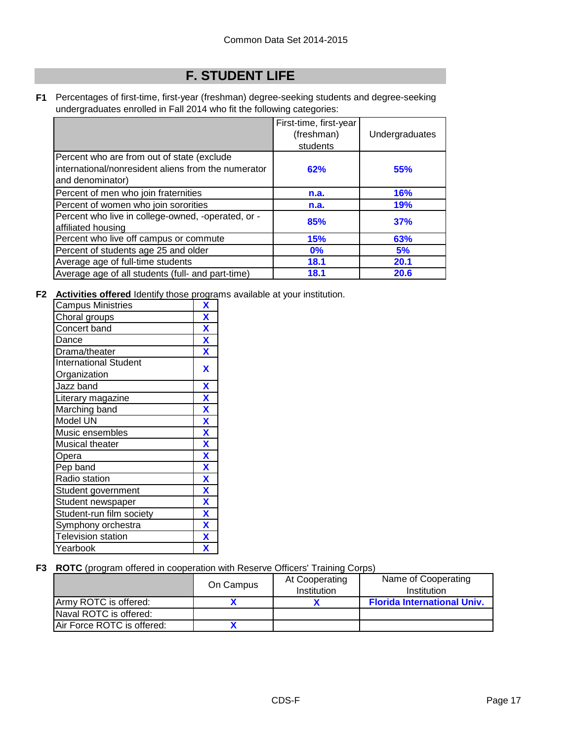# **F. STUDENT LIFE**

**F1** Percentages of first-time, first-year (freshman) degree-seeking students and degree-seeking undergraduates enrolled in Fall 2014 who fit the following categories:

|                                                                                                                       | First-time, first-year<br>(freshman)<br>students | Undergraduates |
|-----------------------------------------------------------------------------------------------------------------------|--------------------------------------------------|----------------|
| Percent who are from out of state (exclude<br>international/nonresident aliens from the numerator<br>and denominator) | 62%                                              | 55%            |
| Percent of men who join fraternities                                                                                  | n.a.                                             | <b>16%</b>     |
| Percent of women who join sororities                                                                                  | n.a.                                             | <b>19%</b>     |
| Percent who live in college-owned, -operated, or -<br>affiliated housing                                              | 85%                                              | 37%            |
| Percent who live off campus or commute                                                                                | <b>15%</b>                                       | 63%            |
| Percent of students age 25 and older                                                                                  | $0\%$                                            | 5%             |
| Average age of full-time students                                                                                     | 18.1                                             | 20.1           |
| Average age of all students (full- and part-time)                                                                     | 18.1                                             | 20.6           |

**F2 Activities offered** Identify those programs available at your institution.

| <b>Campus Ministries</b>     | X                         |
|------------------------------|---------------------------|
| Choral groups                | X                         |
| Concert band                 | $\overline{\mathbf{X}}$   |
| Dance                        | $\boldsymbol{\mathsf{X}}$ |
| Drama/theater                | $\overline{\mathbf{X}}$   |
| <b>International Student</b> | X                         |
| Organization                 |                           |
| Jazz band                    | X                         |
| Literary magazine            | X                         |
| Marching band                | $\overline{\mathbf{X}}$   |
| Model UN                     | X                         |
| Music ensembles              | X                         |
| Musical theater              | X                         |
| Opera                        | X                         |
| Pep band                     | X                         |
| Radio station                | X                         |
| Student government           | X                         |
| Student newspaper            | $\overline{\mathbf{X}}$   |
| Student-run film society     | X                         |
| Symphony orchestra           | X                         |
| <b>Television station</b>    | X                         |
| Yearbook                     | X                         |

#### **F3 ROTC** (program offered in cooperation with Reserve Officers' Training Corps)

|                            | On Campus | At Cooperating<br>Institution | Name of Cooperating<br>Institution |
|----------------------------|-----------|-------------------------------|------------------------------------|
| Army ROTC is offered:      |           |                               | <b>Florida International Univ.</b> |
| Naval ROTC is offered:     |           |                               |                                    |
| Air Force ROTC is offered: |           |                               |                                    |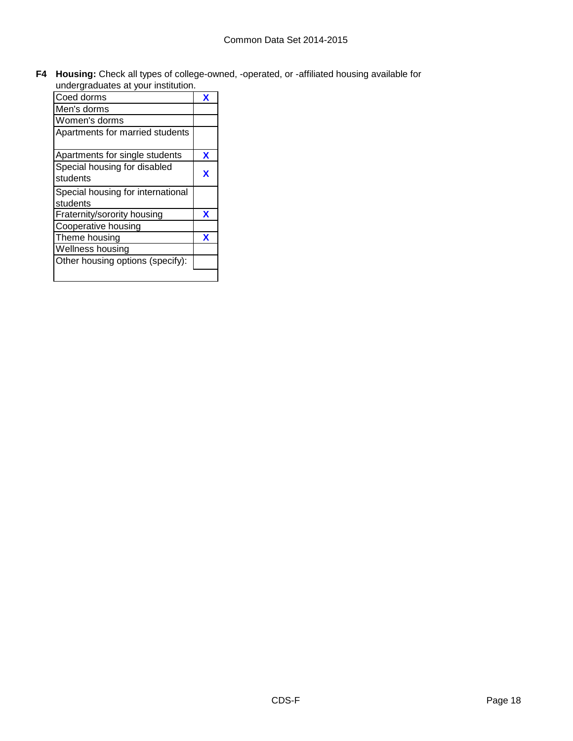**F4 Housing:** Check all types of college-owned, -operated, or -affiliated housing available for

| undergraduates at your institution. |   |
|-------------------------------------|---|
| Coed dorms                          | x |
| Men's dorms                         |   |
| Women's dorms                       |   |
| Apartments for married students     |   |
| Apartments for single students      | X |
| Special housing for disabled        |   |
| students                            | x |
| Special housing for international   |   |
| students                            |   |
| Fraternity/sorority housing         | X |
| Cooperative housing                 |   |
| Theme housing                       | x |
| Wellness housing                    |   |
| Other housing options (specify):    |   |
|                                     |   |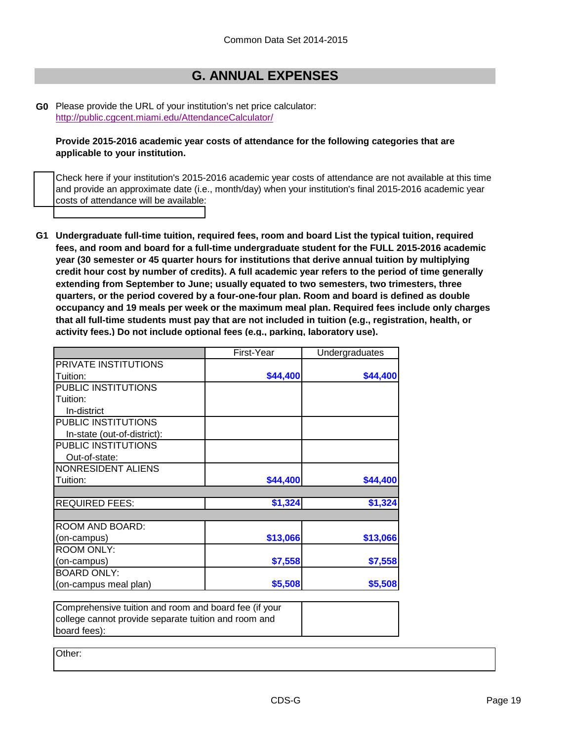### **G. ANNUAL EXPENSES**

**G0** Please provide the URL of your institution's net price calculator: <http://public.cgcent.miami.edu/AttendanceCalculator/>

**Provide 2015-2016 academic year costs of attendance for the following categories that are applicable to your institution.**

Check here if your institution's 2015-2016 academic year costs of attendance are not available at this time and provide an approximate date (i.e., month/day) when your institution's final 2015-2016 academic year costs of attendance will be available:

**G1 Undergraduate full-time tuition, required fees, room and board List the typical tuition, required fees, and room and board for a full-time undergraduate student for the FULL 2015-2016 academic year (30 semester or 45 quarter hours for institutions that derive annual tuition by multiplying credit hour cost by number of credits). A full academic year refers to the period of time generally extending from September to June; usually equated to two semesters, two trimesters, three quarters, or the period covered by a four-one-four plan. Room and board is defined as double occupancy and 19 meals per week or the maximum meal plan. Required fees include only charges that all full-time students must pay that are not included in tuition (e.g., registration, health, or activity fees.) Do not include optional fees (e.g., parking, laboratory use).**

|                             | First-Year | Undergraduates |
|-----------------------------|------------|----------------|
| PRIVATE INSTITUTIONS        |            |                |
| Tuition:                    | \$44,400   | \$44,400       |
| PUBLIC INSTITUTIONS         |            |                |
| Tuition:                    |            |                |
| In-district                 |            |                |
| PUBLIC INSTITUTIONS         |            |                |
| In-state (out-of-district): |            |                |
| PUBLIC INSTITUTIONS         |            |                |
| Out-of-state:               |            |                |
| NONRESIDENT ALIENS          |            |                |
| Tuition:                    | \$44,400   | \$44,400       |
| <b>REQUIRED FEES:</b>       | \$1,324    | \$1,324        |
|                             |            |                |
| ROOM AND BOARD:             |            |                |
| (on-campus)                 | \$13,066   | \$13,066       |
| <b>ROOM ONLY:</b>           |            |                |
| (on-campus)                 | \$7,558    | \$7,558        |
| <b>BOARD ONLY:</b>          |            |                |
| (on-campus meal plan)       | \$5,508    | \$5,508        |

Comprehensive tuition and room and board fee (if your college cannot provide separate tuition and room and board fees):

Other: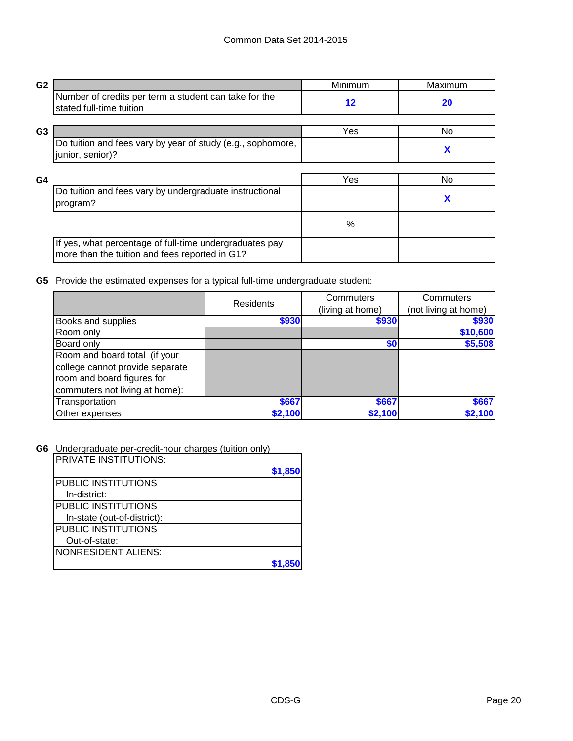| G <sub>2</sub> |                                                                                                           | Minimum | Maximum |
|----------------|-----------------------------------------------------------------------------------------------------------|---------|---------|
|                | Number of credits per term a student can take for the<br>stated full-time tuition                         | $12 \,$ | 20      |
|                |                                                                                                           |         |         |
| G <sub>3</sub> |                                                                                                           | Yes     | No.     |
|                | Do tuition and fees vary by year of study (e.g., sophomore,<br>junior, senior)?                           |         | X       |
|                |                                                                                                           |         |         |
| G <sub>4</sub> |                                                                                                           | Yes     | No      |
|                | Do tuition and fees vary by undergraduate instructional<br>program?                                       |         | X       |
|                |                                                                                                           | $\%$    |         |
|                | If yes, what percentage of full-time undergraduates pay<br>more than the tuition and fees reported in G1? |         |         |

**G5** Provide the estimated expenses for a typical full-time undergraduate student:

|                                 | <b>Residents</b> | Commuters        | Commuters            |  |
|---------------------------------|------------------|------------------|----------------------|--|
|                                 |                  | (living at home) | (not living at home) |  |
| <b>Books and supplies</b>       | \$930            | \$930            | \$930                |  |
| Room only                       |                  |                  | \$10,600             |  |
| Board only                      |                  | \$0              | \$5,508              |  |
| Room and board total (if your   |                  |                  |                      |  |
| college cannot provide separate |                  |                  |                      |  |
| room and board figures for      |                  |                  |                      |  |
| commuters not living at home):  |                  |                  |                      |  |
| Transportation                  | \$667            | \$667            | \$667                |  |
| Other expenses                  | \$2,100          | \$2,100          | \$2,100              |  |

**G6** Undergraduate per-credit-hour charges (tuition only)

| <b>PRIVATE INSTITUTIONS:</b> |         |
|------------------------------|---------|
|                              | \$1,850 |
| <b>PUBLIC INSTITUTIONS</b>   |         |
| In-district:                 |         |
| <b>PUBLIC INSTITUTIONS</b>   |         |
| In-state (out-of-district):  |         |
| <b>PUBLIC INSTITUTIONS</b>   |         |
| Out-of-state:                |         |
| <b>INONRESIDENT ALIENS:</b>  |         |
|                              |         |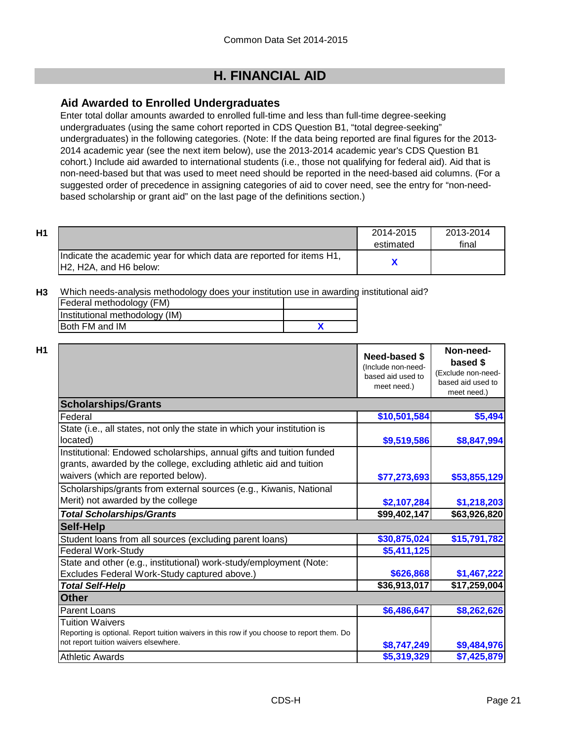## **H. FINANCIAL AID**

### **Aid Awarded to Enrolled Undergraduates**

Enter total dollar amounts awarded to enrolled full-time and less than full-time degree-seeking undergraduates (using the same cohort reported in CDS Question B1, "total degree-seeking" undergraduates) in the following categories. (Note: If the data being reported are final figures for the 2013- 2014 academic year (see the next item below), use the 2013-2014 academic year's CDS Question B1 cohort.) Include aid awarded to international students (i.e., those not qualifying for federal aid). Aid that is non-need-based but that was used to meet need should be reported in the need-based aid columns. (For a suggested order of precedence in assigning categories of aid to cover need, see the entry for "non-needbased scholarship or grant aid" on the last page of the definitions section.)

| H1 |                                                                                                 | 2014-2015<br>estimated | 2013-2014<br>final |
|----|-------------------------------------------------------------------------------------------------|------------------------|--------------------|
|    | Indicate the academic year for which data are reported for items H1,<br>IH2. H2A, and H6 below: |                        |                    |

**H3** Which needs-analysis methodology does your institution use in awarding institutional aid?

| Federal methodology (FM)       |  |
|--------------------------------|--|
| Institutional methodology (IM) |  |
| <b>IBoth FM and IM</b>         |  |

|                                                                                                                                                                                   | Need-based \$<br>(Include non-need-<br>based aid used to<br>meet need.) | Non-need-<br>based \$<br>(Exclude non-need-<br>based aid used to<br>meet need.) |  |  |  |  |
|-----------------------------------------------------------------------------------------------------------------------------------------------------------------------------------|-------------------------------------------------------------------------|---------------------------------------------------------------------------------|--|--|--|--|
| <b>Scholarships/Grants</b>                                                                                                                                                        |                                                                         |                                                                                 |  |  |  |  |
| Federal                                                                                                                                                                           | \$10,501,584                                                            | \$5,494                                                                         |  |  |  |  |
| State (i.e., all states, not only the state in which your institution is<br>located)                                                                                              | \$9,519,586                                                             | \$8,847,994                                                                     |  |  |  |  |
| Institutional: Endowed scholarships, annual gifts and tuition funded<br>grants, awarded by the college, excluding athletic aid and tuition<br>waivers (which are reported below). | \$77,273,693                                                            | \$53,855,129                                                                    |  |  |  |  |
| Scholarships/grants from external sources (e.g., Kiwanis, National<br>Merit) not awarded by the college                                                                           | \$2,107,284                                                             | \$1,218,203                                                                     |  |  |  |  |
| <b>Total Scholarships/Grants</b>                                                                                                                                                  | \$99,402,147                                                            | \$63,926,820                                                                    |  |  |  |  |
| <b>Self-Help</b>                                                                                                                                                                  |                                                                         |                                                                                 |  |  |  |  |
| Student loans from all sources (excluding parent loans)                                                                                                                           | \$30,875,024                                                            | \$15,791,782                                                                    |  |  |  |  |
| <b>Federal Work-Study</b>                                                                                                                                                         | \$5,411,125                                                             |                                                                                 |  |  |  |  |
| State and other (e.g., institutional) work-study/employment (Note:                                                                                                                |                                                                         |                                                                                 |  |  |  |  |
| Excludes Federal Work-Study captured above.)                                                                                                                                      | \$626,868                                                               | \$1,467,222                                                                     |  |  |  |  |
| <b>Total Self-Help</b>                                                                                                                                                            | \$36,913,017                                                            | \$17,259,004                                                                    |  |  |  |  |
| <b>Other</b>                                                                                                                                                                      |                                                                         |                                                                                 |  |  |  |  |
| <b>Parent Loans</b>                                                                                                                                                               | \$6,486,647                                                             | \$8,262,626                                                                     |  |  |  |  |
| Tuition Waivers<br>Reporting is optional. Report tuition waivers in this row if you choose to report them. Do<br>not report tuition waivers elsewhere.                            | \$8,747,249                                                             | \$9,484,976                                                                     |  |  |  |  |
| <b>Athletic Awards</b>                                                                                                                                                            | \$5,319,329                                                             | \$7,425,879                                                                     |  |  |  |  |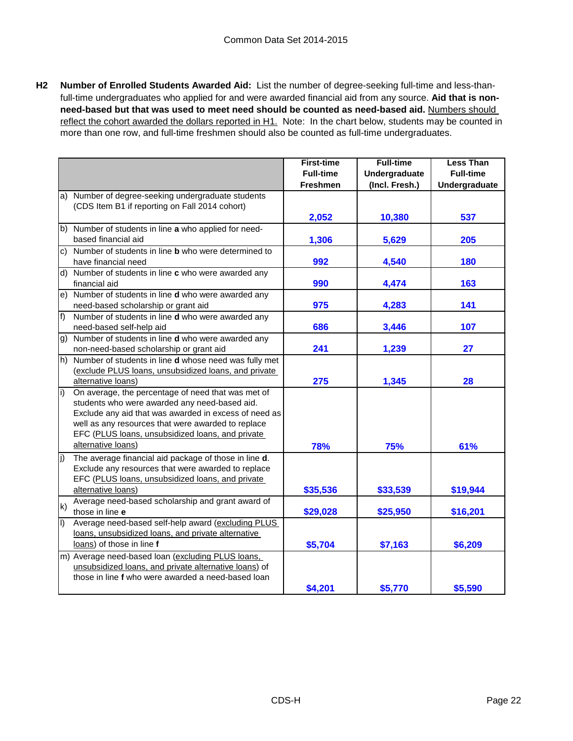**H2 Number of Enrolled Students Awarded Aid:** List the number of degree-seeking full-time and less-thanfull-time undergraduates who applied for and were awarded financial aid from any source. **Aid that is nonneed-based but that was used to meet need should be counted as need-based aid.** Numbers should reflect the cohort awarded the dollars reported in H1. Note: In the chart below, students may be counted in more than one row, and full-time freshmen should also be counted as full-time undergraduates.

|                |                                                                         | <b>First-time</b> | <b>Full-time</b> | <b>Less Than</b> |
|----------------|-------------------------------------------------------------------------|-------------------|------------------|------------------|
|                |                                                                         | <b>Full-time</b>  | Undergraduate    | <b>Full-time</b> |
|                |                                                                         | <b>Freshmen</b>   | (Incl. Fresh.)   | Undergraduate    |
| a)             | Number of degree-seeking undergraduate students                         |                   |                  |                  |
|                | (CDS Item B1 if reporting on Fall 2014 cohort)                          |                   |                  |                  |
|                |                                                                         | 2,052             | 10,380           | 537              |
|                | b) Number of students in line a who applied for need-                   |                   |                  |                  |
|                | based financial aid                                                     | 1,306             | 5,629            | 205              |
| C)             | Number of students in line <b>b</b> who were determined to              |                   |                  |                  |
|                | have financial need                                                     | 992               | 4,540            | 180              |
|                | d) Number of students in line c who were awarded any                    |                   |                  |                  |
|                | financial aid                                                           | 990               | 4,474            | 163              |
| e)             | Number of students in line d who were awarded any                       |                   |                  |                  |
|                | need-based scholarship or grant aid                                     | 975               | 4,283            | 141              |
| f              | Number of students in line d who were awarded any                       |                   |                  |                  |
|                | need-based self-help aid                                                | 686               | 3,446            | 107              |
| g)             | Number of students in line d who were awarded any                       |                   |                  |                  |
|                | non-need-based scholarship or grant aid                                 | 241               | 1,239            | 27               |
| h)             | Number of students in line d whose need was fully met                   |                   |                  |                  |
|                | (exclude PLUS loans, unsubsidized loans, and private                    |                   |                  |                  |
|                | alternative loans)                                                      | 275               | 1,345            | 28               |
| i)             | On average, the percentage of need that was met of                      |                   |                  |                  |
|                | students who were awarded any need-based aid.                           |                   |                  |                  |
|                | Exclude any aid that was awarded in excess of need as                   |                   |                  |                  |
|                | well as any resources that were awarded to replace                      |                   |                  |                  |
|                | EFC (PLUS loans, unsubsidized loans, and private<br>alternative loans)  |                   |                  |                  |
|                |                                                                         | 78%               | 75%              | 61%              |
| $ j\rangle$    | The average financial aid package of those in line d.                   |                   |                  |                  |
|                | Exclude any resources that were awarded to replace                      |                   |                  |                  |
|                | EFC (PLUS loans, unsubsidized loans, and private                        |                   |                  |                  |
|                | alternative loans)<br>Average need-based scholarship and grant award of | \$35,536          | \$33,539         | \$19,944         |
| $\mathsf{k}$   | those in line e                                                         | \$29,028          | \$25,950         | \$16,201         |
| $\overline{1}$ | Average need-based self-help award (excluding PLUS                      |                   |                  |                  |
|                | loans, unsubsidized loans, and private alternative                      |                   |                  |                  |
|                | loans) of those in line f                                               | \$5,704           | \$7,163          | \$6,209          |
|                | m) Average need-based loan (excluding PLUS loans,                       |                   |                  |                  |
|                | unsubsidized loans, and private alternative loans) of                   |                   |                  |                  |
|                | those in line f who were awarded a need-based loan                      |                   |                  |                  |
|                |                                                                         | \$4,201           | \$5,770          | \$5,590          |
|                |                                                                         |                   |                  |                  |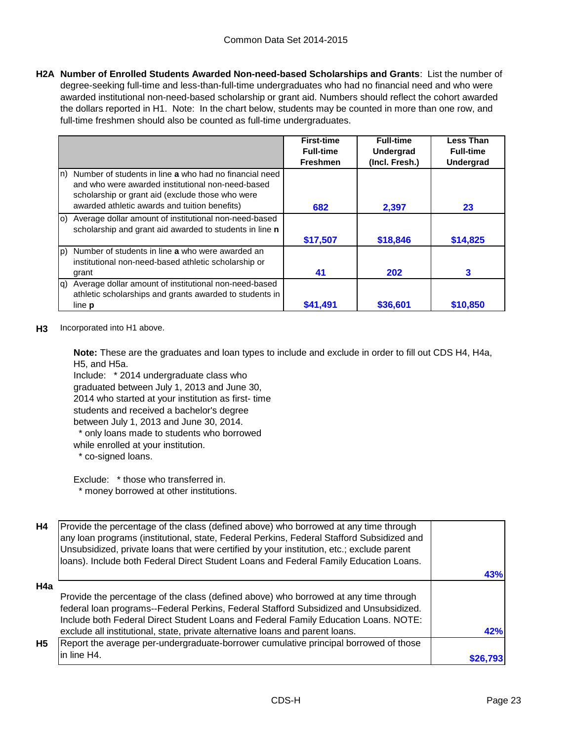**H2A Number of Enrolled Students Awarded Non-need-based Scholarships and Grants**: List the number of degree-seeking full-time and less-than-full-time undergraduates who had no financial need and who were awarded institutional non-need-based scholarship or grant aid. Numbers should reflect the cohort awarded the dollars reported in H1. Note: In the chart below, students may be counted in more than one row, and full-time freshmen should also be counted as full-time undergraduates.

|                                                                                                                                                                        | <b>First-time</b> | <b>Full-time</b> | <b>Less Than</b> |
|------------------------------------------------------------------------------------------------------------------------------------------------------------------------|-------------------|------------------|------------------|
|                                                                                                                                                                        | <b>Full-time</b>  | <b>Undergrad</b> | <b>Full-time</b> |
|                                                                                                                                                                        | <b>Freshmen</b>   | (Incl. Fresh.)   | <b>Undergrad</b> |
| Number of students in line a who had no financial need<br>ln)<br>and who were awarded institutional non-need-based<br>scholarship or grant aid (exclude those who were |                   |                  |                  |
| awarded athletic awards and tuition benefits)                                                                                                                          | 682               | 2,397            | 23               |
| (o) Average dollar amount of institutional non-need-based<br>scholarship and grant aid awarded to students in line n                                                   |                   |                  |                  |
|                                                                                                                                                                        | \$17,507          | \$18,846         | \$14,825         |
| Number of students in line a who were awarded an<br>lp)<br>institutional non-need-based athletic scholarship or                                                        |                   |                  |                  |
| grant                                                                                                                                                                  | 41                | 202              | 3                |
| Average dollar amount of institutional non-need-based<br>la)<br>athletic scholarships and grants awarded to students in                                                |                   |                  |                  |
| line <b>p</b>                                                                                                                                                          | \$41,491          | \$36,601         | \$10,850         |

#### **H3** Incorporated into H1 above.

**Note:** These are the graduates and loan types to include and exclude in order to fill out CDS H4, H4a, H5, and H5a.

Include: \* 2014 undergraduate class who graduated between July 1, 2013 and June 30, 2014 who started at your institution as first- time students and received a bachelor's degree between July 1, 2013 and June 30, 2014.

\* only loans made to students who borrowed

while enrolled at your institution.

\* co-signed loans.

Exclude: \* those who transferred in. \* money borrowed at other institutions.

| <b>H4</b> | Provide the percentage of the class (defined above) who borrowed at any time through<br>any loan programs (institutional, state, Federal Perkins, Federal Stafford Subsidized and<br>Unsubsidized, private loans that were certified by your institution, etc.; exclude parent<br>loans). Include both Federal Direct Student Loans and Federal Family Education Loans. |     |
|-----------|-------------------------------------------------------------------------------------------------------------------------------------------------------------------------------------------------------------------------------------------------------------------------------------------------------------------------------------------------------------------------|-----|
|           |                                                                                                                                                                                                                                                                                                                                                                         | 43% |
| H4a       |                                                                                                                                                                                                                                                                                                                                                                         |     |
|           | Provide the percentage of the class (defined above) who borrowed at any time through                                                                                                                                                                                                                                                                                    |     |
|           | federal loan programs--Federal Perkins, Federal Stafford Subsidized and Unsubsidized.                                                                                                                                                                                                                                                                                   |     |
|           | Include both Federal Direct Student Loans and Federal Family Education Loans. NOTE:                                                                                                                                                                                                                                                                                     |     |
|           | exclude all institutional, state, private alternative loans and parent loans.                                                                                                                                                                                                                                                                                           | 42% |
| <b>H5</b> | Report the average per-undergraduate-borrower cumulative principal borrowed of those                                                                                                                                                                                                                                                                                    |     |
|           | in line H4.                                                                                                                                                                                                                                                                                                                                                             |     |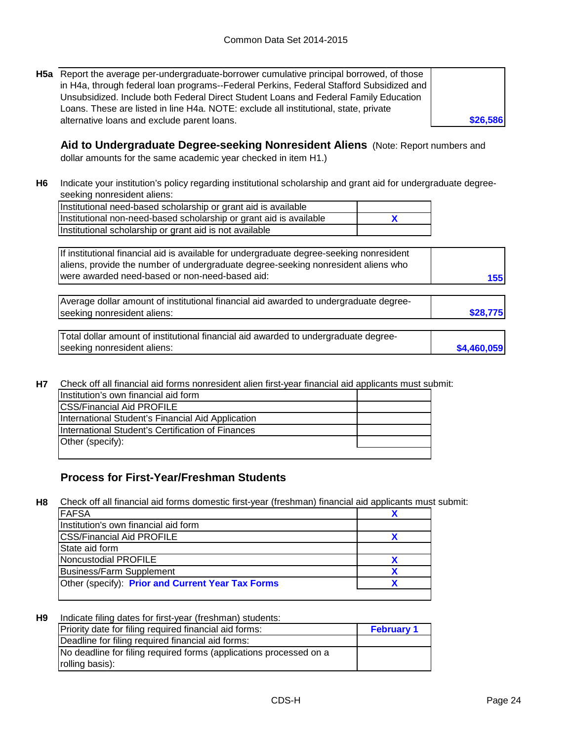**H5a** Report the average per-undergraduate-borrower cumulative principal borrowed, of those in H4a, through federal loan programs--Federal Perkins, Federal Stafford Subsidized and Unsubsidized. Include both Federal Direct Student Loans and Federal Family Education Loans. These are listed in line H4a. NOTE: exclude all institutional, state, private alternative loans and exclude parent loans.

**Aid to Undergraduate Degree-seeking Nonresident Aliens** (Note: Report numbers and dollar amounts for the same academic year checked in item H1.)

**H6** Indicate your institution's policy regarding institutional scholarship and grant aid for undergraduate degreeseeking nonresident aliens:

**X** Institutional need-based scholarship or grant aid is available Institutional non-need-based scholarship or grant aid is available Institutional scholarship or grant aid is not available

If institutional financial aid is available for undergraduate degree-seeking nonresident aliens, provide the number of undergraduate degree-seeking nonresident aliens who were awarded need-based or non-need-based aid:

| Average dollar amount of institutional financial aid awarded to undergraduate degree- |          |
|---------------------------------------------------------------------------------------|----------|
| seeking nonresident aliens:                                                           | \$28,775 |
|                                                                                       |          |

| Total dollar amount of institutional financial aid awarded to undergraduate degree- |             |
|-------------------------------------------------------------------------------------|-------------|
| seeking nonresident aliens:                                                         | \$4,460,059 |

**H7** Check off all financial aid forms nonresident alien first-year financial aid applicants must submit:

| Ilnstitution's own financial aid form             |  |
|---------------------------------------------------|--|
| <b>ICSS/Financial Aid PROFILE</b>                 |  |
| International Student's Financial Aid Application |  |
| International Student's Certification of Finances |  |
| Other (specify):                                  |  |
|                                                   |  |

### **Process for First-Year/Freshman Students**

**H8** Check off all financial aid forms domestic first-year (freshman) financial aid applicants must submit:

| <b>FAFSA</b>                                      |  |
|---------------------------------------------------|--|
| Institution's own financial aid form              |  |
| <b>CSS/Financial Aid PROFILE</b>                  |  |
| State aid form                                    |  |
| Noncustodial PROFILE                              |  |
| <b>Business/Farm Supplement</b>                   |  |
| Other (specify): Prior and Current Year Tax Forms |  |
|                                                   |  |

#### **H9** Indicate filing dates for first-year (freshman) students:

| Priority date for filing required financial aid forms:             | <b>February 1</b> |
|--------------------------------------------------------------------|-------------------|
| Deadline for filing required financial aid forms:                  |                   |
| No deadline for filing required forms (applications processed on a |                   |
| rolling basis):                                                    |                   |

**\$26,586**

**155**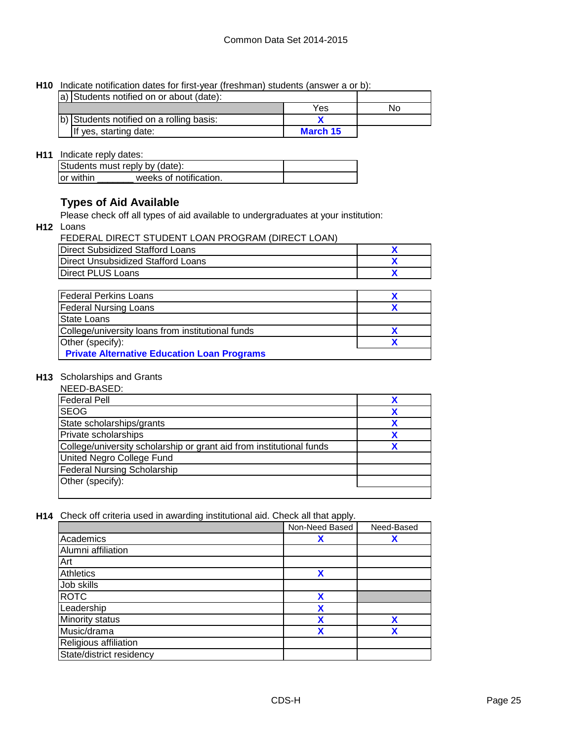**H10** Indicate notification dates for first-year (freshman) students (answer a or b):

| a) Students notified on or about (date): |          |    |
|------------------------------------------|----------|----|
|                                          | Yes      | Nο |
| b) Students notified on a rolling basis: |          |    |
| If yes, starting date:                   | March 15 |    |

### **H11** Indicate reply dates:

| Students must reply by (date): |                        |  |  |
|--------------------------------|------------------------|--|--|
| <b>Tor within</b>              | weeks of notification. |  |  |

#### **Types of Aid Available**

Please check off all types of aid available to undergraduates at your institution:

**H12** Loans

| FEDERAL DIRECT STUDENT LOAN PROGRAM (DIRECT LOAN) |  |
|---------------------------------------------------|--|
| Direct Subsidized Stafford Loans                  |  |
| Direct Unsubsidized Stafford Loans                |  |
| Direct PLUS Loans                                 |  |

| <b>Federal Perkins Loans</b>                       |  |
|----------------------------------------------------|--|
| <b>Federal Nursing Loans</b>                       |  |
| <b>State Loans</b>                                 |  |
| College/university loans from institutional funds  |  |
| Other (specify):                                   |  |
| <b>Private Alternative Education Loan Programs</b> |  |

#### **H13** Scholarships and Grants

| NEED-BASED:                                                          |  |
|----------------------------------------------------------------------|--|
| <b>Federal Pell</b>                                                  |  |
| <b>SEOG</b>                                                          |  |
| State scholarships/grants                                            |  |
| Private scholarships                                                 |  |
| College/university scholarship or grant aid from institutional funds |  |
| United Negro College Fund                                            |  |
| <b>Federal Nursing Scholarship</b>                                   |  |
| Other (specify):                                                     |  |
|                                                                      |  |

**H14** Check off criteria used in awarding institutional aid. Check all that apply.

|                          | Non-Need Based | Need-Based |
|--------------------------|----------------|------------|
| Academics                | X              | χ          |
| Alumni affiliation       |                |            |
| Art                      |                |            |
| <b>Athletics</b>         | χ              |            |
| Job skills               |                |            |
| <b>ROTC</b>              | X              |            |
| Leadership               | χ              |            |
| Minority status          | x              | χ          |
| Music/drama              | χ              | χ          |
| Religious affiliation    |                |            |
| State/district residency |                |            |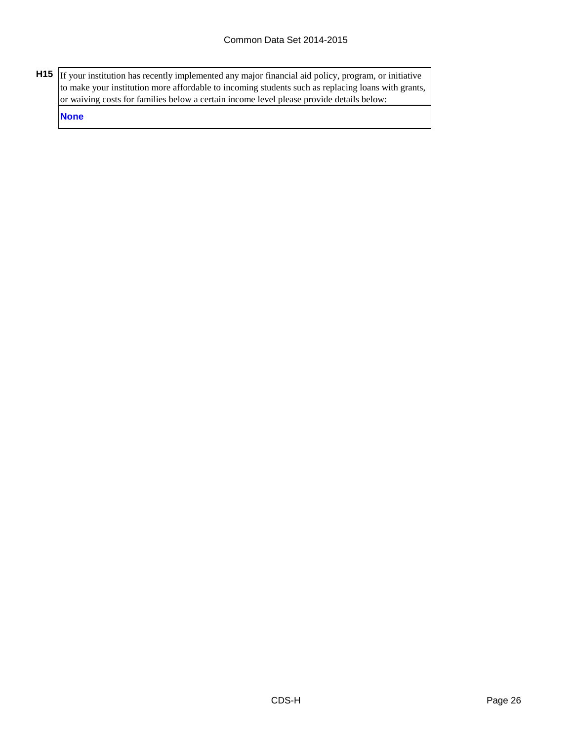**H15** If your institution has recently implemented any major financial aid policy, program, or initiative to make your institution more affordable to incoming students such as replacing loans with grants, or waiving costs for families below a certain income level please provide details below:

**None**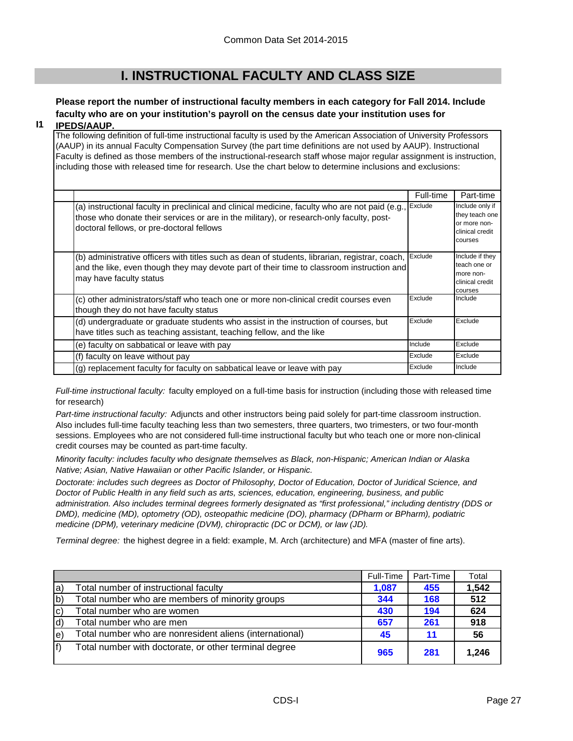## **I. INSTRUCTIONAL FACULTY AND CLASS SIZE**

## **Please report the number of instructional faculty members in each category for Fall 2014. Include faculty who are on your institution's payroll on the census date your institution uses for**

#### **I1 IPEDS/AAUP.**

The following definition of full-time instructional faculty is used by the American Association of University Professors (AAUP) in its annual Faculty Compensation Survey (the part time definitions are not used by AAUP). Instructional Faculty is defined as those members of the instructional-research staff whose major regular assignment is instruction, including those with released time for research. Use the chart below to determine inclusions and exclusions:

|                                                                                                                                                                                                                                          | Full-time | Part-time                                                                       |
|------------------------------------------------------------------------------------------------------------------------------------------------------------------------------------------------------------------------------------------|-----------|---------------------------------------------------------------------------------|
| (a) instructional faculty in preclinical and clinical medicine, faculty who are not paid (e.g.,<br>those who donate their services or are in the military), or research-only faculty, post-<br>doctoral fellows, or pre-doctoral fellows | Exclude   | Include only if<br>they teach one<br>or more non-<br>clinical credit<br>courses |
| (b) administrative officers with titles such as dean of students, librarian, registrar, coach,<br>and the like, even though they may devote part of their time to classroom instruction and<br>may have faculty status                   | Exclude   | Include if they<br>teach one or<br>more non-<br>clinical credit<br>courses      |
| (c) other administrators/staff who teach one or more non-clinical credit courses even<br>though they do not have faculty status                                                                                                          | Exclude   | Include                                                                         |
| (d) undergraduate or graduate students who assist in the instruction of courses, but<br>have titles such as teaching assistant, teaching fellow, and the like                                                                            | Exclude   | Exclude                                                                         |
| (e) faculty on sabbatical or leave with pay                                                                                                                                                                                              | Include   | Exclude                                                                         |
| (f) faculty on leave without pay                                                                                                                                                                                                         | Exclude   | Exclude                                                                         |
| (g) replacement faculty for faculty on sabbatical leave or leave with pay                                                                                                                                                                | Exclude   | Include                                                                         |

*Full-time instructional faculty:* faculty employed on a full-time basis for instruction (including those with released time for research)

*Part-time instructional faculty:* Adjuncts and other instructors being paid solely for part-time classroom instruction. Also includes full-time faculty teaching less than two semesters, three quarters, two trimesters, or two four-month sessions. Employees who are not considered full-time instructional faculty but who teach one or more non-clinical credit courses may be counted as part-time faculty.

*Minority faculty: includes faculty who designate themselves as Black, non-Hispanic; American Indian or Alaska Native; Asian, Native Hawaiian or other Pacific Islander, or Hispanic.* 

*Doctorate: includes such degrees as Doctor of Philosophy, Doctor of Education, Doctor of Juridical Science, and Doctor of Public Health in any field such as arts, sciences, education, engineering, business, and public administration. Also includes terminal degrees formerly designated as "first professional," including dentistry (DDS or DMD), medicine (MD), optometry (OD), osteopathic medicine (DO), pharmacy (DPharm or BPharm), podiatric medicine (DPM), veterinary medicine (DVM), chiropractic (DC or DCM), or law (JD).*

*Terminal degree:* the highest degree in a field: example, M. Arch (architecture) and MFA (master of fine arts).

|              |                                                         | Full-Time | Part-Time | Total |
|--------------|---------------------------------------------------------|-----------|-----------|-------|
| la)          | Total number of instructional faculty                   | 1,087     | 455       | 1,542 |
| $ b\rangle$  | Total number who are members of minority groups         | 344       | 168       | 512   |
| $ c\rangle$  | Total number who are women                              | 430       | 194       | 624   |
| $\mathsf{d}$ | Total number who are men                                | 657       | 261       | 918   |
| le)          | Total number who are nonresident aliens (international) | 45        | 11        | -56   |
| lf)          | Total number with doctorate, or other terminal degree   | 965       | 281       | 1,246 |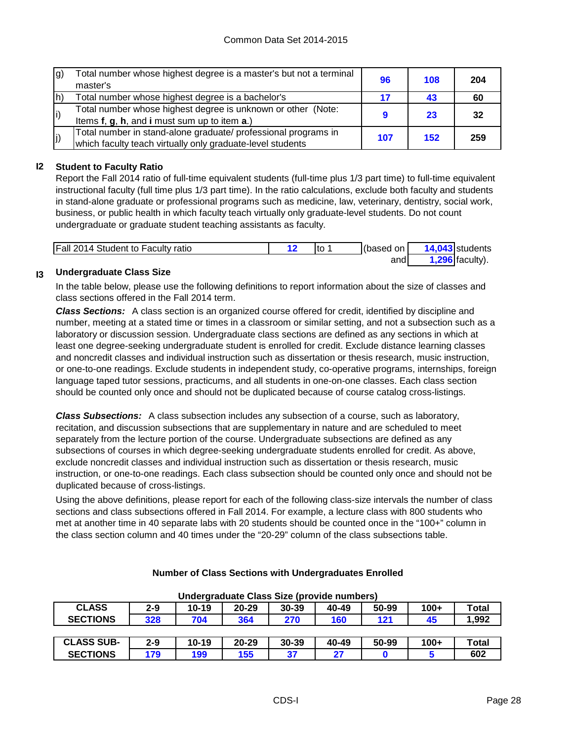| g) | Total number whose highest degree is a master's but not a terminal<br>master's | 96  | 108 | 204 |
|----|--------------------------------------------------------------------------------|-----|-----|-----|
| h) | Total number whose highest degree is a bachelor's                              |     | 43  | 60  |
| i) | Total number whose highest degree is unknown or other (Note:                   |     | 23  | 32  |
|    | Items f, g, h, and i must sum up to item a.)                                   |     |     |     |
|    | Total number in stand-alone graduate/ professional programs in                 | 107 | 152 | 259 |
| j) | which faculty teach virtually only graduate-level students                     |     |     |     |

### **I2 Student to Faculty Ratio**

Report the Fall 2014 ratio of full-time equivalent students (full-time plus 1/3 part time) to full-time equivalent instructional faculty (full time plus 1/3 part time). In the ratio calculations, exclude both faculty and students in stand-alone graduate or professional programs such as medicine, law, veterinary, dentistry, social work, business, or public health in which faculty teach virtually only graduate-level students. Do not count undergraduate or graduate student teaching assistants as faculty.

| <b>Fall 2014 Student to Faculty ratio</b> | Ito | (based on I | 14,043 students   |
|-------------------------------------------|-----|-------------|-------------------|
|                                           |     | andl        | $1,296$ faculty). |

#### **I3 Undergraduate Class Size**

In the table below, please use the following definitions to report information about the size of classes and class sections offered in the Fall 2014 term.

*Class Sections:* A class section is an organized course offered for credit, identified by discipline and number, meeting at a stated time or times in a classroom or similar setting, and not a subsection such as a laboratory or discussion session. Undergraduate class sections are defined as any sections in which at least one degree-seeking undergraduate student is enrolled for credit. Exclude distance learning classes and noncredit classes and individual instruction such as dissertation or thesis research, music instruction, or one-to-one readings. Exclude students in independent study, co-operative programs, internships, foreign language taped tutor sessions, practicums, and all students in one-on-one classes. Each class section should be counted only once and should not be duplicated because of course catalog cross-listings.

*Class Subsections:* A class subsection includes any subsection of a course, such as laboratory, recitation, and discussion subsections that are supplementary in nature and are scheduled to meet separately from the lecture portion of the course. Undergraduate subsections are defined as any subsections of courses in which degree-seeking undergraduate students enrolled for credit. As above, exclude noncredit classes and individual instruction such as dissertation or thesis research, music instruction, or one-to-one readings. Each class subsection should be counted only once and should not be duplicated because of cross-listings.

Using the above definitions, please report for each of the following class-size intervals the number of class sections and class subsections offered in Fall 2014. For example, a lecture class with 800 students who met at another time in 40 separate labs with 20 students should be counted once in the "100+" column in the class section column and 40 times under the "20-29" column of the class subsections table.

| Undergraduate Class Size (provide numbers)                                             |         |           |           |       |       |       |        |              |
|----------------------------------------------------------------------------------------|---------|-----------|-----------|-------|-------|-------|--------|--------------|
| <b>CLASS</b><br>$10 - 19$<br>50-99<br>$100+$<br>$2 - 9$<br>30-39<br>40-49<br>$20 - 29$ |         |           |           |       |       |       | Total  |              |
| <b>SECTIONS</b>                                                                        | 328     | 704       | 364       | 270   | 160   | 121   | 45     | 1,992        |
|                                                                                        |         |           |           |       |       |       |        |              |
| <b>CLASS SUB-</b>                                                                      | $2 - 9$ | $10 - 19$ | $20 - 29$ | 30-39 | 40-49 | 50-99 | $100+$ | <b>Total</b> |
| <b>SECTIONS</b>                                                                        | 179     | 199       | 155       | 37    | 27    |       |        | 602          |

#### **Number of Class Sections with Undergraduates Enrolled**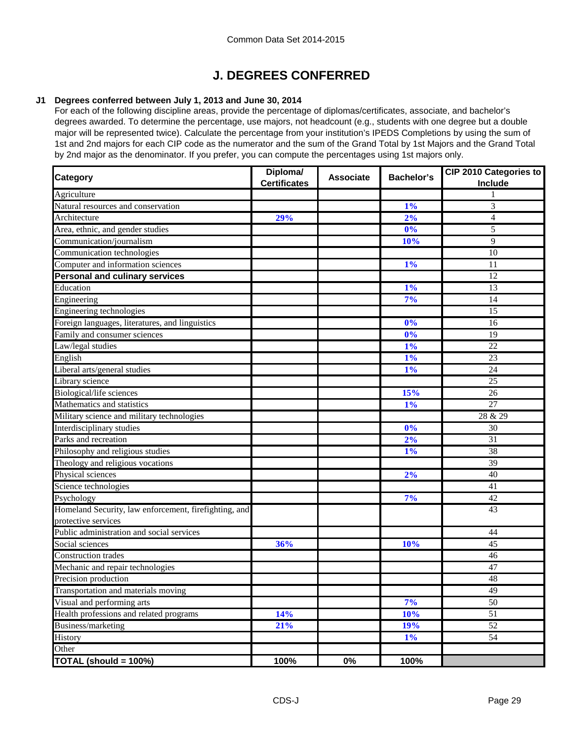# **J. DEGREES CONFERRED**

#### **J1 Degrees conferred between July 1, 2013 and June 30, 2014**

For each of the following discipline areas, provide the percentage of diplomas/certificates, associate, and bachelor's degrees awarded. To determine the percentage, use majors, not headcount (e.g., students with one degree but a double major will be represented twice). Calculate the percentage from your institution's IPEDS Completions by using the sum of 1st and 2nd majors for each CIP code as the numerator and the sum of the Grand Total by 1st Majors and the Grand Total by 2nd major as the denominator. If you prefer, you can compute the percentages using 1st majors only.

| <b>Category</b>                                       | Diploma/<br><b>Certificates</b> | <b>Associate</b> | <b>Bachelor's</b> | CIP 2010 Categories to<br>Include |
|-------------------------------------------------------|---------------------------------|------------------|-------------------|-----------------------------------|
| Agriculture                                           |                                 |                  |                   |                                   |
| Natural resources and conservation                    |                                 |                  | 1%                | 3                                 |
| Architecture                                          | 29%                             |                  | 2%                | $\overline{4}$                    |
| Area, ethnic, and gender studies                      |                                 |                  | 0%                | 5                                 |
| Communication/journalism                              |                                 |                  | 10%               | 9                                 |
| Communication technologies                            |                                 |                  |                   | 10                                |
| Computer and information sciences                     |                                 |                  | $1\%$             | 11                                |
| <b>Personal and culinary services</b>                 |                                 |                  |                   | 12                                |
| Education                                             |                                 |                  | 1%                | 13                                |
| Engineering                                           |                                 |                  | 7%                | 14                                |
| Engineering technologies                              |                                 |                  |                   | 15                                |
| Foreign languages, literatures, and linguistics       |                                 |                  | 0%                | 16                                |
| Family and consumer sciences                          |                                 |                  | 0%                | $\overline{19}$                   |
| Law/legal studies                                     |                                 |                  | $1\%$             | 22                                |
| English                                               |                                 |                  | 1%                | 23                                |
| Liberal arts/general studies                          |                                 |                  | 1%                | 24                                |
| Library science                                       |                                 |                  |                   | 25                                |
| Biological/life sciences                              |                                 |                  | 15%               | 26                                |
| Mathematics and statistics                            |                                 |                  | 1%                | $\overline{27}$                   |
| Military science and military technologies            |                                 |                  |                   | 28 & 29                           |
| Interdisciplinary studies                             |                                 |                  | 0%                | 30                                |
| Parks and recreation                                  |                                 |                  | 2%                | 31                                |
| Philosophy and religious studies                      |                                 |                  | 1%                | 38                                |
| Theology and religious vocations                      |                                 |                  |                   | 39                                |
| Physical sciences                                     |                                 |                  | 2%                | 40                                |
| Science technologies                                  |                                 |                  |                   | 41                                |
| Psychology                                            |                                 |                  | 7%                | 42                                |
| Homeland Security, law enforcement, firefighting, and |                                 |                  |                   | 43                                |
| protective services                                   |                                 |                  |                   |                                   |
| Public administration and social services             |                                 |                  |                   | 44                                |
| Social sciences                                       | 36%                             |                  | 10%               | 45                                |
| <b>Construction</b> trades                            |                                 |                  |                   | $46\,$                            |
| Mechanic and repair technologies                      |                                 |                  |                   | 47                                |
| Precision production                                  |                                 |                  |                   | 48                                |
| Transportation and materials moving                   |                                 |                  |                   | 49                                |
| Visual and performing arts                            |                                 |                  | 7%                | $\overline{50}$                   |
| Health professions and related programs               | 14%                             |                  | 10%               | 51                                |
| Business/marketing                                    | 21%                             |                  | 19%               | 52                                |
| History                                               |                                 |                  | $1\%$             | 54                                |
| Other                                                 |                                 |                  |                   |                                   |
| TOTAL (should = 100%)                                 | 100%                            | 0%               | 100%              |                                   |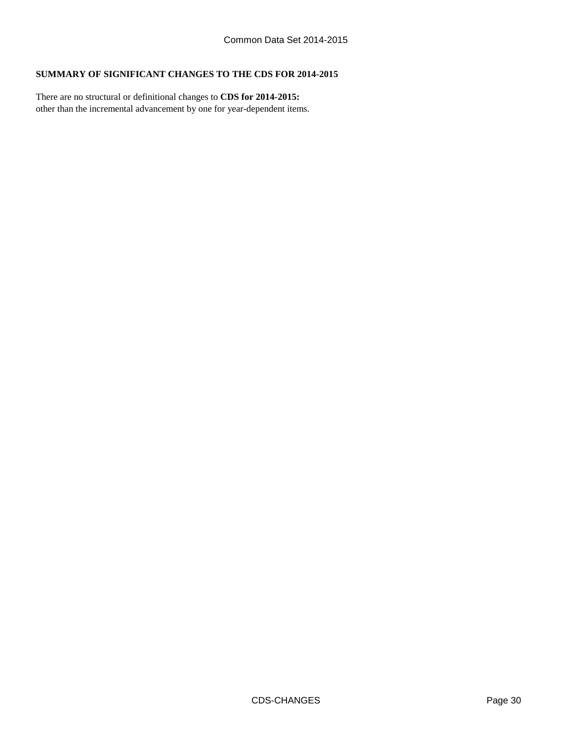#### **SUMMARY OF SIGNIFICANT CHANGES TO THE CDS FOR 2014-2015**

other than the incremental advancement by one for year-dependent items. There are no structural or definitional changes to **CDS for 2014-2015:**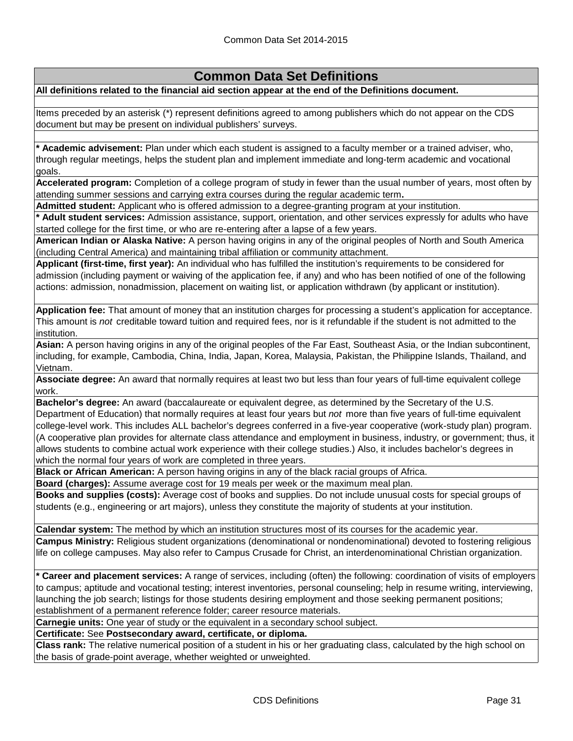### **Common Data Set Definitions**

**All definitions related to the financial aid section appear at the end of the Definitions document.**

Items preceded by an asterisk (\*) represent definitions agreed to among publishers which do not appear on the CDS document but may be present on individual publishers' surveys.

**\* Academic advisement:** Plan under which each student is assigned to a faculty member or a trained adviser, who, through regular meetings, helps the student plan and implement immediate and long-term academic and vocational goals.

**Accelerated program:** Completion of a college program of study in fewer than the usual number of years, most often by attending summer sessions and carrying extra courses during the regular academic term**.**

**Admitted student:** Applicant who is offered admission to a degree-granting program at your institution.

**\* Adult student services:** Admission assistance, support, orientation, and other services expressly for adults who have started college for the first time, or who are re-entering after a lapse of a few years.

**American Indian or Alaska Native:** A person having origins in any of the original peoples of North and South America (including Central America) and maintaining tribal affiliation or community attachment.

**Applicant (first-time, first year):** An individual who has fulfilled the institution's requirements to be considered for admission (including payment or waiving of the application fee, if any) and who has been notified of one of the following actions: admission, nonadmission, placement on waiting list, or application withdrawn (by applicant or institution).

**Application fee:** That amount of money that an institution charges for processing a student's application for acceptance. This amount is *not* creditable toward tuition and required fees, nor is it refundable if the student is not admitted to the institution.

**Asian:** A person having origins in any of the original peoples of the Far East, Southeast Asia, or the Indian subcontinent, including, for example, Cambodia, China, India, Japan, Korea, Malaysia, Pakistan, the Philippine Islands, Thailand, and Vietnam.

**Associate degree:** An award that normally requires at least two but less than four years of full-time equivalent college work.

**Bachelor's degree:** An award (baccalaureate or equivalent degree, as determined by the Secretary of the U.S. Department of Education) that normally requires at least four years but *not* more than five years of full-time equivalent college-level work. This includes ALL bachelor's degrees conferred in a five-year cooperative (work-study plan) program. (A cooperative plan provides for alternate class attendance and employment in business, industry, or government; thus, it allows students to combine actual work experience with their college studies.) Also, it includes bachelor's degrees in which the normal four years of work are completed in three years.

**Black or African American:** A person having origins in any of the black racial groups of Africa.

**Board (charges):** Assume average cost for 19 meals per week or the maximum meal plan.

**Books and supplies (costs):** Average cost of books and supplies. Do not include unusual costs for special groups of students (e.g., engineering or art majors), unless they constitute the majority of students at your institution.

**Calendar system:** The method by which an institution structures most of its courses for the academic year.

**Campus Ministry:** Religious student organizations (denominational or nondenominational) devoted to fostering religious life on college campuses. May also refer to Campus Crusade for Christ, an interdenominational Christian organization.

**\* Career and placement services:** A range of services, including (often) the following: coordination of visits of employers to campus; aptitude and vocational testing; interest inventories, personal counseling; help in resume writing, interviewing, launching the job search; listings for those students desiring employment and those seeking permanent positions; establishment of a permanent reference folder; career resource materials.

**Carnegie units:** One year of study or the equivalent in a secondary school subject.

**Certificate:** See **Postsecondary award, certificate, or diploma.**

**Class rank:** The relative numerical position of a student in his or her graduating class, calculated by the high school on the basis of grade-point average, whether weighted or unweighted.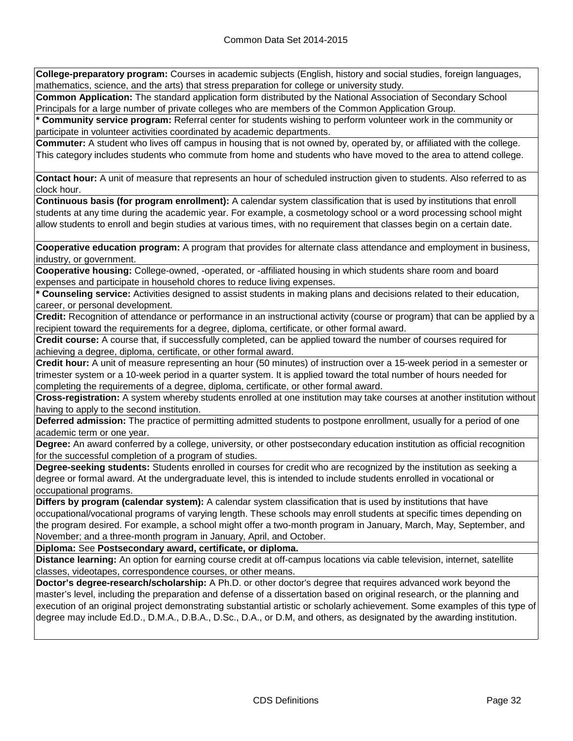**College-preparatory program:** Courses in academic subjects (English, history and social studies, foreign languages, mathematics, science, and the arts) that stress preparation for college or university study.

**Common Application:** The standard application form distributed by the National Association of Secondary School Principals for a large number of private colleges who are members of the Common Application Group.

**\* Community service program:** Referral center for students wishing to perform volunteer work in the community or participate in volunteer activities coordinated by academic departments.

**Commuter:** A student who lives off campus in housing that is not owned by, operated by, or affiliated with the college. This category includes students who commute from home and students who have moved to the area to attend college.

**Contact hour:** A unit of measure that represents an hour of scheduled instruction given to students. Also referred to as clock hour.

**Continuous basis (for program enrollment):** A calendar system classification that is used by institutions that enroll students at any time during the academic year. For example, a cosmetology school or a word processing school might allow students to enroll and begin studies at various times, with no requirement that classes begin on a certain date.

**Cooperative education program:** A program that provides for alternate class attendance and employment in business, industry, or government.

**Cooperative housing:** College-owned, -operated, or -affiliated housing in which students share room and board expenses and participate in household chores to reduce living expenses.

**\* Counseling service:** Activities designed to assist students in making plans and decisions related to their education, career, or personal development.

**Credit:** Recognition of attendance or performance in an instructional activity (course or program) that can be applied by a recipient toward the requirements for a degree, diploma, certificate, or other formal award.

**Credit course:** A course that, if successfully completed, can be applied toward the number of courses required for achieving a degree, diploma, certificate, or other formal award.

**Credit hour:** A unit of measure representing an hour (50 minutes) of instruction over a 15-week period in a semester or trimester system or a 10-week period in a quarter system. It is applied toward the total number of hours needed for completing the requirements of a degree, diploma, certificate, or other formal award.

**Cross-registration:** A system whereby students enrolled at one institution may take courses at another institution without having to apply to the second institution.

**Deferred admission:** The practice of permitting admitted students to postpone enrollment, usually for a period of one academic term or one year.

**Degree:** An award conferred by a college, university, or other postsecondary education institution as official recognition for the successful completion of a program of studies.

**Degree-seeking students:** Students enrolled in courses for credit who are recognized by the institution as seeking a degree or formal award. At the undergraduate level, this is intended to include students enrolled in vocational or occupational programs.

**Differs by program (calendar system):** A calendar system classification that is used by institutions that have occupational/vocational programs of varying length. These schools may enroll students at specific times depending on the program desired. For example, a school might offer a two-month program in January, March, May, September, and November; and a three-month program in January, April, and October.

**Diploma:** See **Postsecondary award, certificate, or diploma.**

**Distance learning:** An option for earning course credit at off-campus locations via cable television, internet, satellite classes, videotapes, correspondence courses, or other means.

**Doctor's degree-research/scholarship:** A Ph.D. or other doctor's degree that requires advanced work beyond the master's level, including the preparation and defense of a dissertation based on original research, or the planning and execution of an original project demonstrating substantial artistic or scholarly achievement. Some examples of this type of degree may include Ed.D., D.M.A., D.B.A., D.Sc., D.A., or D.M, and others, as designated by the awarding institution.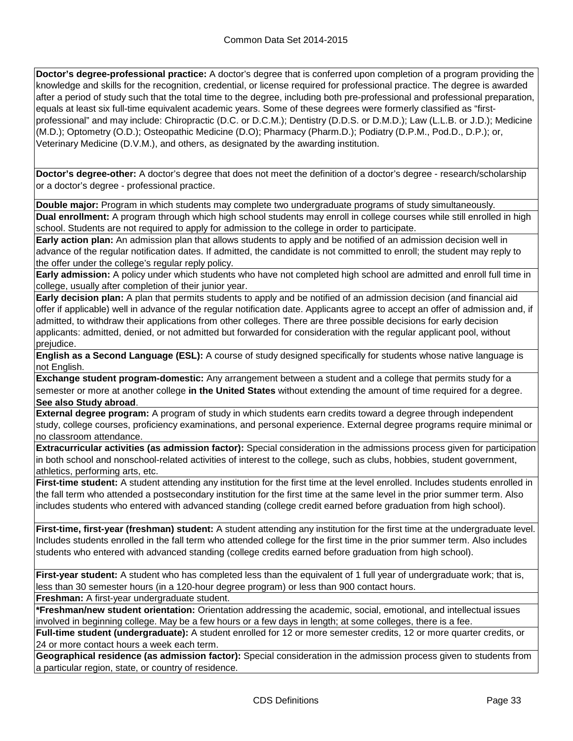**Doctor's degree-professional practice:** A doctor's degree that is conferred upon completion of a program providing the knowledge and skills for the recognition, credential, or license required for professional practice. The degree is awarded after a period of study such that the total time to the degree, including both pre-professional and professional preparation, equals at least six full-time equivalent academic years. Some of these degrees were formerly classified as "firstprofessional" and may include: Chiropractic (D.C. or D.C.M.); Dentistry (D.D.S. or D.M.D.); Law (L.L.B. or J.D.); Medicine (M.D.); Optometry (O.D.); Osteopathic Medicine (D.O); Pharmacy (Pharm.D.); Podiatry (D.P.M., Pod.D., D.P.); or, Veterinary Medicine (D.V.M.), and others, as designated by the awarding institution.

**Doctor's degree-other:** A doctor's degree that does not meet the definition of a doctor's degree - research/scholarship or a doctor's degree - professional practice.

**Double major:** Program in which students may complete two undergraduate programs of study simultaneously.

**Dual enrollment:** A program through which high school students may enroll in college courses while still enrolled in high school. Students are not required to apply for admission to the college in order to participate.

**Early action plan:** An admission plan that allows students to apply and be notified of an admission decision well in advance of the regular notification dates. If admitted, the candidate is not committed to enroll; the student may reply to the offer under the college's regular reply policy.

**Early admission:** A policy under which students who have not completed high school are admitted and enroll full time in college, usually after completion of their junior year.

**Early decision plan:** A plan that permits students to apply and be notified of an admission decision (and financial aid offer if applicable) well in advance of the regular notification date. Applicants agree to accept an offer of admission and, if admitted, to withdraw their applications from other colleges. There are three possible decisions for early decision applicants: admitted, denied, or not admitted but forwarded for consideration with the regular applicant pool, without prejudice.

**English as a Second Language (ESL):** A course of study designed specifically for students whose native language is not English.

**Exchange student program-domestic:** Any arrangement between a student and a college that permits study for a semester or more at another college **in the United States** without extending the amount of time required for a degree. **See also Study abroad**.

**External degree program:** A program of study in which students earn credits toward a degree through independent study, college courses, proficiency examinations, and personal experience. External degree programs require minimal or no classroom attendance.

**Extracurricular activities (as admission factor):** Special consideration in the admissions process given for participation in both school and nonschool-related activities of interest to the college, such as clubs, hobbies, student government, athletics, performing arts, etc.

**First-time student:** A student attending any institution for the first time at the level enrolled. Includes students enrolled in the fall term who attended a postsecondary institution for the first time at the same level in the prior summer term. Also includes students who entered with advanced standing (college credit earned before graduation from high school).

**First-time, first-year (freshman) student:** A student attending any institution for the first time at the undergraduate level. Includes students enrolled in the fall term who attended college for the first time in the prior summer term. Also includes students who entered with advanced standing (college credits earned before graduation from high school).

**First-year student:** A student who has completed less than the equivalent of 1 full year of undergraduate work; that is, less than 30 semester hours (in a 120-hour degree program) or less than 900 contact hours.

**Freshman:** A first-year undergraduate student.

**\*Freshman/new student orientation:** Orientation addressing the academic, social, emotional, and intellectual issues involved in beginning college. May be a few hours or a few days in length; at some colleges, there is a fee.

**Full-time student (undergraduate):** A student enrolled for 12 or more semester credits, 12 or more quarter credits, or 24 or more contact hours a week each term.

**Geographical residence (as admission factor):** Special consideration in the admission process given to students from a particular region, state, or country of residence.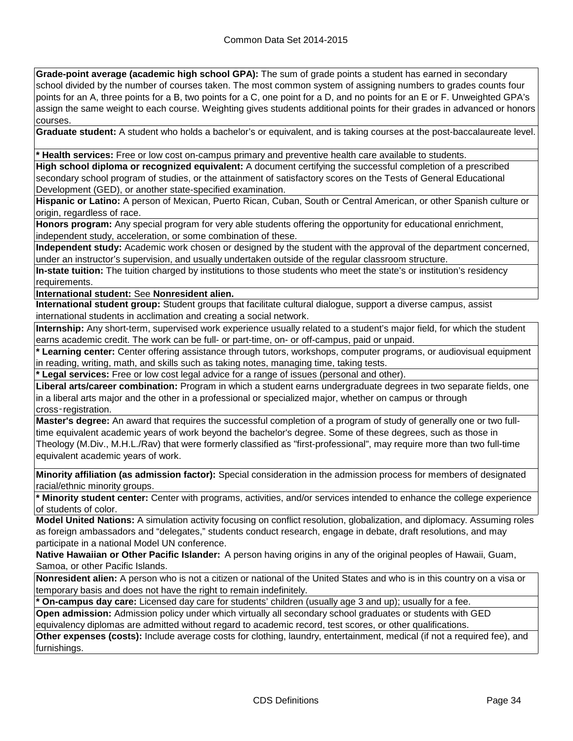**Grade-point average (academic high school GPA):** The sum of grade points a student has earned in secondary school divided by the number of courses taken. The most common system of assigning numbers to grades counts four points for an A, three points for a B, two points for a C, one point for a D, and no points for an E or F. Unweighted GPA's assign the same weight to each course. Weighting gives students additional points for their grades in advanced or honors courses.

**Graduate student:** A student who holds a bachelor's or equivalent, and is taking courses at the post-baccalaureate level.

**\* Health services:** Free or low cost on-campus primary and preventive health care available to students.

**High school diploma or recognized equivalent:** A document certifying the successful completion of a prescribed secondary school program of studies, or the attainment of satisfactory scores on the Tests of General Educational Development (GED), or another state-specified examination.

**Hispanic or Latino:** A person of Mexican, Puerto Rican, Cuban, South or Central American, or other Spanish culture or origin, regardless of race.

**Honors program:** Any special program for very able students offering the opportunity for educational enrichment, independent study, acceleration, or some combination of these.

**Independent study:** Academic work chosen or designed by the student with the approval of the department concerned, under an instructor's supervision, and usually undertaken outside of the regular classroom structure.

**In-state tuition:** The tuition charged by institutions to those students who meet the state's or institution's residency requirements.

**International student:** See **Nonresident alien.**

**International student group:** Student groups that facilitate cultural dialogue, support a diverse campus, assist international students in acclimation and creating a social network.

**Internship:** Any short-term, supervised work experience usually related to a student's major field, for which the student earns academic credit. The work can be full- or part-time, on- or off-campus, paid or unpaid.

**\* Learning center:** Center offering assistance through tutors, workshops, computer programs, or audiovisual equipment in reading, writing, math, and skills such as taking notes, managing time, taking tests.

**\* Legal services:** Free or low cost legal advice for a range of issues (personal and other).

**Liberal arts/career combination:** Program in which a student earns undergraduate degrees in two separate fields, one in a liberal arts major and the other in a professional or specialized major, whether on campus or through cross‑registration.

**Master's degree:** An award that requires the successful completion of a program of study of generally one or two fulltime equivalent academic years of work beyond the bachelor's degree. Some of these degrees, such as those in Theology (M.Div., M.H.L./Rav) that were formerly classified as "first-professional", may require more than two full-time equivalent academic years of work.

**Minority affiliation (as admission factor):** Special consideration in the admission process for members of designated racial/ethnic minority groups.

**\* Minority student center:** Center with programs, activities, and/or services intended to enhance the college experience of students of color.

**Model United Nations:** A simulation activity focusing on conflict resolution, globalization, and diplomacy. Assuming roles as foreign ambassadors and "delegates," students conduct research, engage in debate, draft resolutions, and may participate in a national Model UN conference.

**Native Hawaiian or Other Pacific Islander:** A person having origins in any of the original peoples of Hawaii, Guam, Samoa, or other Pacific Islands.

**Nonresident alien:** A person who is not a citizen or national of the United States and who is in this country on a visa or temporary basis and does not have the right to remain indefinitely.

**\* On-campus day care:** Licensed day care for students' children (usually age 3 and up); usually for a fee.

**Open admission:** Admission policy under which virtually all secondary school graduates or students with GED equivalency diplomas are admitted without regard to academic record, test scores, or other qualifications.

**Other expenses (costs):** Include average costs for clothing, laundry, entertainment, medical (if not a required fee), and furnishings.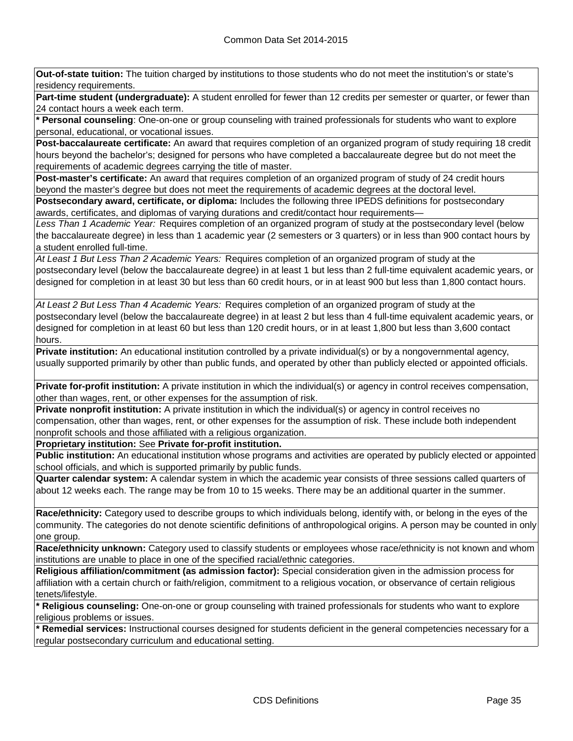**Out-of-state tuition:** The tuition charged by institutions to those students who do not meet the institution's or state's residency requirements.

**Part-time student (undergraduate):** A student enrolled for fewer than 12 credits per semester or quarter, or fewer than 24 contact hours a week each term.

**\* Personal counseling**: One-on-one or group counseling with trained professionals for students who want to explore personal, educational, or vocational issues.

**Post-baccalaureate certificate:** An award that requires completion of an organized program of study requiring 18 credit hours beyond the bachelor's; designed for persons who have completed a baccalaureate degree but do not meet the requirements of academic degrees carrying the title of master.

**Post-master's certificate:** An award that requires completion of an organized program of study of 24 credit hours beyond the master's degree but does not meet the requirements of academic degrees at the doctoral level.

**Postsecondary award, certificate, or diploma:** Includes the following three IPEDS definitions for postsecondary awards, certificates, and diplomas of varying durations and credit/contact hour requirements—

*Less Than 1 Academic Year:* Requires completion of an organized program of study at the postsecondary level (below the baccalaureate degree) in less than 1 academic year (2 semesters or 3 quarters) or in less than 900 contact hours by a student enrolled full-time.

*At Least 1 But Less Than 2 Academic Years:* Requires completion of an organized program of study at the postsecondary level (below the baccalaureate degree) in at least 1 but less than 2 full-time equivalent academic years, or designed for completion in at least 30 but less than 60 credit hours, or in at least 900 but less than 1,800 contact hours.

*At Least 2 But Less Than 4 Academic Years:* Requires completion of an organized program of study at the postsecondary level (below the baccalaureate degree) in at least 2 but less than 4 full-time equivalent academic years, or designed for completion in at least 60 but less than 120 credit hours, or in at least 1,800 but less than 3,600 contact hours.

**Private institution:** An educational institution controlled by a private individual(s) or by a nongovernmental agency, usually supported primarily by other than public funds, and operated by other than publicly elected or appointed officials.

**Private for-profit institution:** A private institution in which the individual(s) or agency in control receives compensation, other than wages, rent, or other expenses for the assumption of risk.

**Private nonprofit institution:** A private institution in which the individual(s) or agency in control receives no compensation, other than wages, rent, or other expenses for the assumption of risk. These include both independent nonprofit schools and those affiliated with a religious organization.

**Proprietary institution:** See **Private for-profit institution.**

**Public institution:** An educational institution whose programs and activities are operated by publicly elected or appointed school officials, and which is supported primarily by public funds.

**Quarter calendar system:** A calendar system in which the academic year consists of three sessions called quarters of about 12 weeks each. The range may be from 10 to 15 weeks. There may be an additional quarter in the summer.

**Race/ethnicity:** Category used to describe groups to which individuals belong, identify with, or belong in the eyes of the community. The categories do not denote scientific definitions of anthropological origins. A person may be counted in only one group.

**Race/ethnicity unknown:** Category used to classify students or employees whose race/ethnicity is not known and whom institutions are unable to place in one of the specified racial/ethnic categories.

**Religious affiliation/commitment (as admission factor):** Special consideration given in the admission process for affiliation with a certain church or faith/religion, commitment to a religious vocation, or observance of certain religious tenets/lifestyle.

**\* Religious counseling:** One-on-one or group counseling with trained professionals for students who want to explore religious problems or issues.

**\* Remedial services:** Instructional courses designed for students deficient in the general competencies necessary for a regular postsecondary curriculum and educational setting.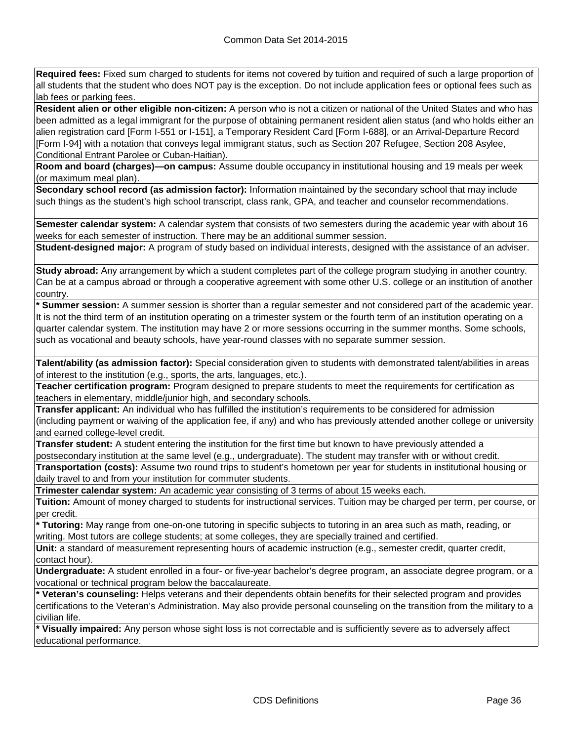**Required fees:** Fixed sum charged to students for items not covered by tuition and required of such a large proportion of all students that the student who does NOT pay is the exception. Do not include application fees or optional fees such as lab fees or parking fees.

**Resident alien or other eligible non-citizen:** A person who is not a citizen or national of the United States and who has been admitted as a legal immigrant for the purpose of obtaining permanent resident alien status (and who holds either an alien registration card [Form I-551 or I-151], a Temporary Resident Card [Form I-688], or an Arrival-Departure Record [Form I-94] with a notation that conveys legal immigrant status, such as Section 207 Refugee, Section 208 Asylee, Conditional Entrant Parolee or Cuban-Haitian).

**Room and board (charges)—on campus:** Assume double occupancy in institutional housing and 19 meals per week (or maximum meal plan).

**Secondary school record (as admission factor):** Information maintained by the secondary school that may include such things as the student's high school transcript, class rank, GPA, and teacher and counselor recommendations.

**Semester calendar system:** A calendar system that consists of two semesters during the academic year with about 16 weeks for each semester of instruction. There may be an additional summer session.

**Student-designed major:** A program of study based on individual interests, designed with the assistance of an adviser.

**Study abroad:** Any arrangement by which a student completes part of the college program studying in another country. Can be at a campus abroad or through a cooperative agreement with some other U.S. college or an institution of another country.

**\* Summer session:** A summer session is shorter than a regular semester and not considered part of the academic year. It is not the third term of an institution operating on a trimester system or the fourth term of an institution operating on a quarter calendar system. The institution may have 2 or more sessions occurring in the summer months. Some schools, such as vocational and beauty schools, have year-round classes with no separate summer session.

**Talent/ability (as admission factor):** Special consideration given to students with demonstrated talent/abilities in areas of interest to the institution (e.g., sports, the arts, languages, etc.).

**Teacher certification program:** Program designed to prepare students to meet the requirements for certification as teachers in elementary, middle/junior high, and secondary schools.

**Transfer applicant:** An individual who has fulfilled the institution's requirements to be considered for admission (including payment or waiving of the application fee, if any) and who has previously attended another college or university and earned college-level credit.

**Transfer student:** A student entering the institution for the first time but known to have previously attended a postsecondary institution at the same level (e.g., undergraduate). The student may transfer with or without credit.

**Transportation (costs):** Assume two round trips to student's hometown per year for students in institutional housing or daily travel to and from your institution for commuter students.

**Trimester calendar system:** An academic year consisting of 3 terms of about 15 weeks each.

**Tuition:** Amount of money charged to students for instructional services. Tuition may be charged per term, per course, or per credit.

**\* Tutoring:** May range from one-on-one tutoring in specific subjects to tutoring in an area such as math, reading, or writing. Most tutors are college students; at some colleges, they are specially trained and certified.

**Unit:** a standard of measurement representing hours of academic instruction (e.g., semester credit, quarter credit, contact hour).

**Undergraduate:** A student enrolled in a four- or five-year bachelor's degree program, an associate degree program, or a vocational or technical program below the baccalaureate.

**\* Veteran's counseling:** Helps veterans and their dependents obtain benefits for their selected program and provides certifications to the Veteran's Administration. May also provide personal counseling on the transition from the military to a civilian life.

**\* Visually impaired:** Any person whose sight loss is not correctable and is sufficiently severe as to adversely affect educational performance.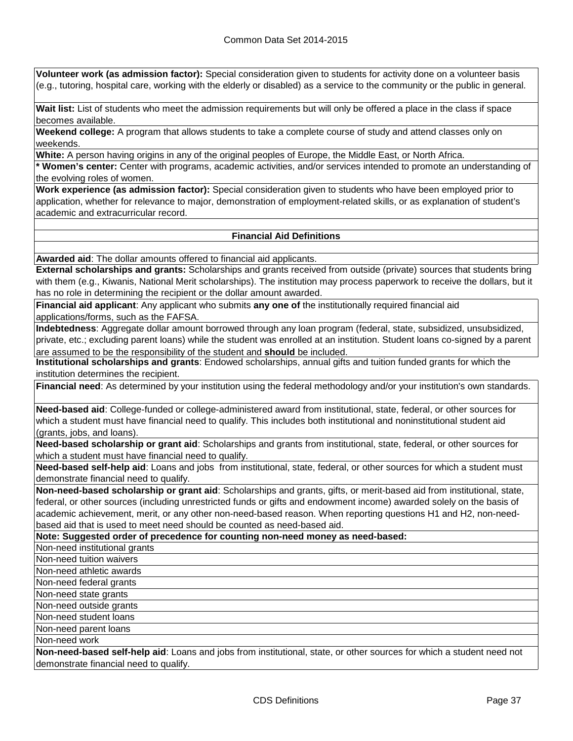**Volunteer work (as admission factor):** Special consideration given to students for activity done on a volunteer basis (e.g., tutoring, hospital care, working with the elderly or disabled) as a service to the community or the public in general.

**Wait list:** List of students who meet the admission requirements but will only be offered a place in the class if space becomes available.

**Weekend college:** A program that allows students to take a complete course of study and attend classes only on weekends.

**White:** A person having origins in any of the original peoples of Europe, the Middle East, or North Africa.

**\* Women's center:** Center with programs, academic activities, and/or services intended to promote an understanding of the evolving roles of women.

**Work experience (as admission factor):** Special consideration given to students who have been employed prior to application, whether for relevance to major, demonstration of employment-related skills, or as explanation of student's academic and extracurricular record.

#### **Financial Aid Definitions**

**Awarded aid**: The dollar amounts offered to financial aid applicants.

**External scholarships and grants:** Scholarships and grants received from outside (private) sources that students bring with them (e.g., Kiwanis, National Merit scholarships). The institution may process paperwork to receive the dollars, but it has no role in determining the recipient or the dollar amount awarded.

**Financial aid applicant**: Any applicant who submits **any one of** the institutionally required financial aid applications/forms, such as the FAFSA.

**Indebtedness**: Aggregate dollar amount borrowed through any loan program (federal, state, subsidized, unsubsidized, private, etc.; excluding parent loans) while the student was enrolled at an institution. Student loans co-signed by a parent are assumed to be the responsibility of the student and **should** be included.

**Institutional scholarships and grants**: Endowed scholarships, annual gifts and tuition funded grants for which the institution determines the recipient.

**Financial need**: As determined by your institution using the federal methodology and/or your institution's own standards.

**Need-based aid**: College-funded or college-administered award from institutional, state, federal, or other sources for which a student must have financial need to qualify. This includes both institutional and noninstitutional student aid (grants, jobs, and loans).

**Need-based scholarship or grant aid**: Scholarships and grants from institutional, state, federal, or other sources for which a student must have financial need to qualify.

**Need-based self-help aid**: Loans and jobs from institutional, state, federal, or other sources for which a student must demonstrate financial need to qualify.

**Non-need-based scholarship or grant aid**: Scholarships and grants, gifts, or merit-based aid from institutional, state, federal, or other sources (including unrestricted funds or gifts and endowment income) awarded solely on the basis of academic achievement, merit, or any other non-need-based reason. When reporting questions H1 and H2, non-needbased aid that is used to meet need should be counted as need-based aid.

**Note: Suggested order of precedence for counting non-need money as need-based:**

Non-need institutional grants

Non-need tuition waivers

Non-need athletic awards

Non-need federal grants

Non-need state grants

Non-need outside grants

Non-need student loans

Non-need parent loans

Non-need work

**Non-need-based self-help aid**: Loans and jobs from institutional, state, or other sources for which a student need not demonstrate financial need to qualify.